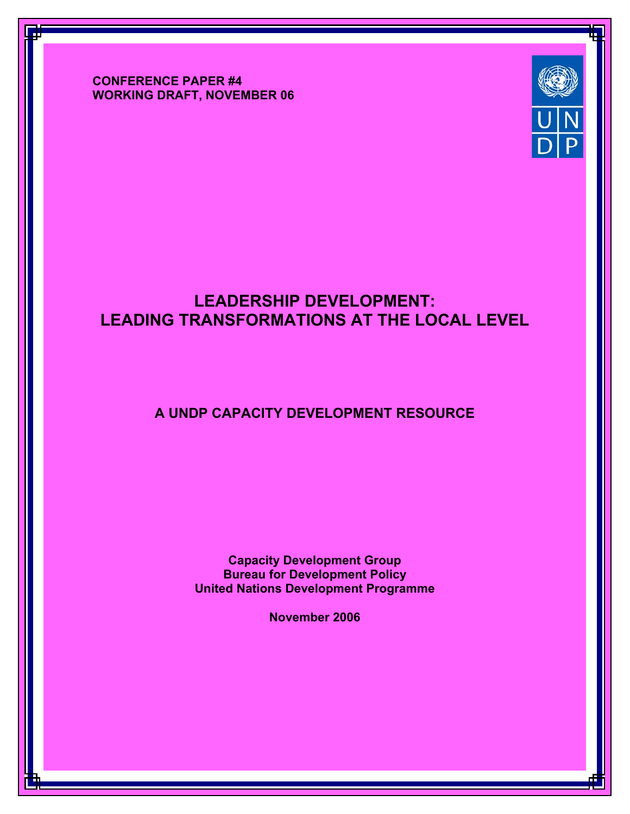**CONFERENCE PAPER #4 WORKING DRAFT, NOVEMBER 06**



1

# **LEADERSHIP DEVELOPMENT: LEADING TRANSFORMATIONS AT THE LOCAL LEVEL**

# **A UNDP CAPACITY DEVELOPMENT RESOURCE**

**Capacity Development Group Bureau for Development Policy United Nations Development Programme**

**November 2006**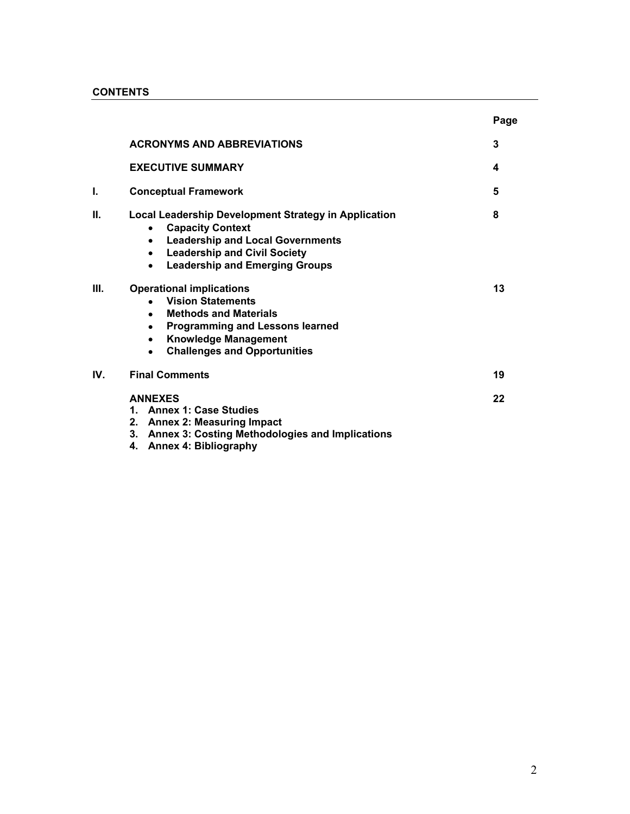|      |                                                                                                                                                                                                                                                          | Page |
|------|----------------------------------------------------------------------------------------------------------------------------------------------------------------------------------------------------------------------------------------------------------|------|
|      | <b>ACRONYMS AND ABBREVIATIONS</b>                                                                                                                                                                                                                        | 3    |
|      | <b>EXECUTIVE SUMMARY</b>                                                                                                                                                                                                                                 | 4    |
| I.   | <b>Conceptual Framework</b>                                                                                                                                                                                                                              | 5    |
| П.   | <b>Local Leadership Development Strategy in Application</b><br><b>Capacity Context</b><br><b>Leadership and Local Governments</b><br>$\bullet$<br><b>Leadership and Civil Society</b><br>$\bullet$<br><b>Leadership and Emerging Groups</b><br>$\bullet$ | 8    |
| III. | <b>Operational implications</b><br><b>Vision Statements</b><br><b>Methods and Materials</b><br><b>Programming and Lessons learned</b><br>٠<br><b>Knowledge Management</b><br>$\bullet$<br><b>Challenges and Opportunities</b><br>٠                       | 13   |
| IV.  | <b>Final Comments</b>                                                                                                                                                                                                                                    | 19   |
|      | <b>ANNEXES</b><br>1. Annex 1: Case Studies<br>2. Annex 2: Measuring Impact<br>3. Annex 3: Costing Methodologies and Implications<br>4. Annex 4: Bibliography                                                                                             | 22   |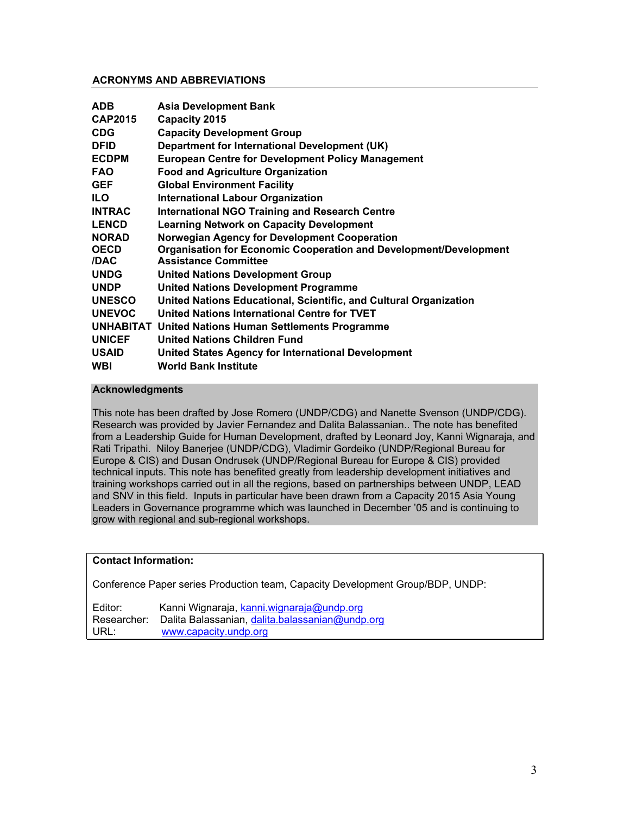### **ACRONYMS AND ABBREVIATIONS**

| <b>ADB</b>     | <b>Asia Development Bank</b>                                             |
|----------------|--------------------------------------------------------------------------|
| <b>CAP2015</b> | Capacity 2015                                                            |
| <b>CDG</b>     | <b>Capacity Development Group</b>                                        |
| <b>DFID</b>    | Department for International Development (UK)                            |
| <b>ECDPM</b>   | <b>European Centre for Development Policy Management</b>                 |
| <b>FAO</b>     | <b>Food and Agriculture Organization</b>                                 |
| <b>GEF</b>     | <b>Global Environment Facility</b>                                       |
| <b>ILO</b>     | <b>International Labour Organization</b>                                 |
| <b>INTRAC</b>  | <b>International NGO Training and Research Centre</b>                    |
| <b>LENCD</b>   | <b>Learning Network on Capacity Development</b>                          |
| <b>NORAD</b>   | Norwegian Agency for Development Cooperation                             |
| <b>OECD</b>    | <b>Organisation for Economic Cooperation and Development/Development</b> |
| /DAC           | <b>Assistance Committee</b>                                              |
| <b>UNDG</b>    | <b>United Nations Development Group</b>                                  |
| <b>UNDP</b>    | <b>United Nations Development Programme</b>                              |
| <b>UNESCO</b>  | United Nations Educational, Scientific, and Cultural Organization        |
| <b>UNEVOC</b>  | United Nations International Centre for TVET                             |
|                | <b>UNHABITAT United Nations Human Settlements Programme</b>              |
| <b>UNICEF</b>  | <b>United Nations Children Fund</b>                                      |
| <b>USAID</b>   | <b>United States Agency for International Development</b>                |
| <b>WBI</b>     | <b>World Bank Institute</b>                                              |

#### **Acknowledgments**

This note has been drafted by Jose Romero (UNDP/CDG) and Nanette Svenson (UNDP/CDG). Research was provided by Javier Fernandez and Dalita Balassanian.. The note has benefited from a Leadership Guide for Human Development, drafted by Leonard Joy, Kanni Wignaraja, and Rati Tripathi. Niloy Banerjee (UNDP/CDG), Vladimir Gordeiko (UNDP/Regional Bureau for Europe & CIS) and Dusan Ondrusek (UNDP/Regional Bureau for Europe & CIS) provided technical inputs. This note has benefited greatly from leadership development initiatives and training workshops carried out in all the regions, based on partnerships between UNDP, LEAD and SNV in this field. Inputs in particular have been drawn from a Capacity 2015 Asia Young Leaders in Governance programme which was launched in December '05 and is continuing to grow with regional and sub-regional workshops.

### **Contact Information:**

Conference Paper series Production team, Capacity Development Group/BDP, UNDP:

| Editor:     | Kanni Wignaraja, kanni wignaraja@undp.org       |
|-------------|-------------------------------------------------|
| Researcher: | Dalita Balassanian, dalita.balassanian@undp.org |
| URL:        | www.capacity.undp.org                           |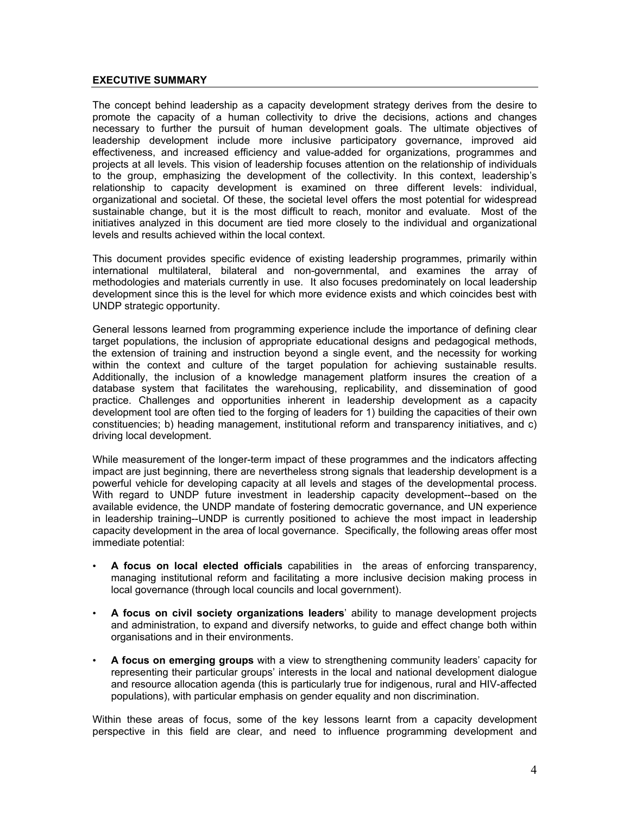#### **EXECUTIVE SUMMARY**

The concept behind leadership as a capacity development strategy derives from the desire to promote the capacity of a human collectivity to drive the decisions, actions and changes necessary to further the pursuit of human development goals. The ultimate objectives of leadership development include more inclusive participatory governance, improved aid effectiveness, and increased efficiency and value-added for organizations, programmes and projects at all levels. This vision of leadership focuses attention on the relationship of individuals to the group, emphasizing the development of the collectivity. In this context, leadership's relationship to capacity development is examined on three different levels: individual, organizational and societal. Of these, the societal level offers the most potential for widespread sustainable change, but it is the most difficult to reach, monitor and evaluate. Most of the initiatives analyzed in this document are tied more closely to the individual and organizational levels and results achieved within the local context.

This document provides specific evidence of existing leadership programmes, primarily within international multilateral, bilateral and non-governmental, and examines the array of methodologies and materials currently in use. It also focuses predominately on local leadership development since this is the level for which more evidence exists and which coincides best with UNDP strategic opportunity.

General lessons learned from programming experience include the importance of defining clear target populations, the inclusion of appropriate educational designs and pedagogical methods, the extension of training and instruction beyond a single event, and the necessity for working within the context and culture of the target population for achieving sustainable results. Additionally, the inclusion of a knowledge management platform insures the creation of a database system that facilitates the warehousing, replicability, and dissemination of good practice. Challenges and opportunities inherent in leadership development as a capacity development tool are often tied to the forging of leaders for 1) building the capacities of their own constituencies; b) heading management, institutional reform and transparency initiatives, and c) driving local development.

While measurement of the longer-term impact of these programmes and the indicators affecting impact are just beginning, there are nevertheless strong signals that leadership development is a powerful vehicle for developing capacity at all levels and stages of the developmental process. With regard to UNDP future investment in leadership capacity development--based on the available evidence, the UNDP mandate of fostering democratic governance, and UN experience in leadership training--UNDP is currently positioned to achieve the most impact in leadership capacity development in the area of local governance. Specifically, the following areas offer most immediate potential:

- **A focus on local elected officials** capabilities in the areas of enforcing transparency, managing institutional reform and facilitating a more inclusive decision making process in local governance (through local councils and local government).
- **A focus on civil society organizations leaders**' ability to manage development projects and administration, to expand and diversify networks, to guide and effect change both within organisations and in their environments.
- **A focus on emerging groups** with a view to strengthening community leaders' capacity for representing their particular groups' interests in the local and national development dialogue and resource allocation agenda (this is particularly true for indigenous, rural and HIV-affected populations), with particular emphasis on gender equality and non discrimination.

Within these areas of focus, some of the key lessons learnt from a capacity development perspective in this field are clear, and need to influence programming development and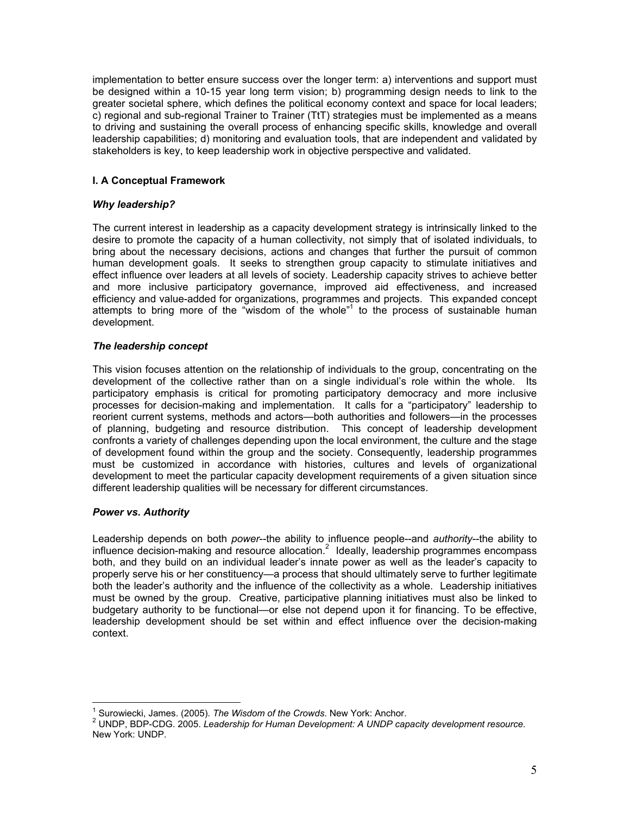implementation to better ensure success over the longer term: a) interventions and support must be designed within a 10-15 year long term vision; b) programming design needs to link to the greater societal sphere, which defines the political economy context and space for local leaders; c) regional and sub-regional Trainer to Trainer (TtT) strategies must be implemented as a means to driving and sustaining the overall process of enhancing specific skills, knowledge and overall leadership capabilities; d) monitoring and evaluation tools, that are independent and validated by stakeholders is key, to keep leadership work in objective perspective and validated.

### **I. A Conceptual Framework**

### *Why leadership?*

The current interest in leadership as a capacity development strategy is intrinsically linked to the desire to promote the capacity of a human collectivity, not simply that of isolated individuals, to bring about the necessary decisions, actions and changes that further the pursuit of common human development goals. It seeks to strengthen group capacity to stimulate initiatives and effect influence over leaders at all levels of society. Leadership capacity strives to achieve better and more inclusive participatory governance, improved aid effectiveness, and increased efficiency and value-added for organizations, programmes and projects. This expanded concept attempts to bring more of the "wisdom of the whole"<sup>1</sup> to the process of sustainable human development.

### *The leadership concept*

This vision focuses attention on the relationship of individuals to the group, concentrating on the development of the collective rather than on a single individual's role within the whole. Its participatory emphasis is critical for promoting participatory democracy and more inclusive processes for decision-making and implementation. It calls for a "participatory" leadership to reorient current systems, methods and actors—both authorities and followers—in the processes of planning, budgeting and resource distribution. This concept of leadership development confronts a variety of challenges depending upon the local environment, the culture and the stage of development found within the group and the society. Consequently, leadership programmes must be customized in accordance with histories, cultures and levels of organizational development to meet the particular capacity development requirements of a given situation since different leadership qualities will be necessary for different circumstances.

### *Power vs. Authority*

 $\overline{a}$ 

Leadership depends on both *power*--the ability to influence people--and *authority*--the ability to influence decision-making and resource allocation.<sup>2</sup> Ideally, leadership programmes encompass both, and they build on an individual leader's innate power as well as the leader's capacity to properly serve his or her constituency—a process that should ultimately serve to further legitimate both the leader's authority and the influence of the collectivity as a whole. Leadership initiatives must be owned by the group. Creative, participative planning initiatives must also be linked to budgetary authority to be functional—or else not depend upon it for financing. To be effective, leadership development should be set within and effect influence over the decision-making context.

<sup>&</sup>lt;sup>1</sup> Surowiecki, James. (2005). *The Wisdom of the Crowds*. New York: Anchor.<br><sup>2</sup> UNDR, RDR, CDC, 2005. Loodership for Human Dovelopment: A UNDR cou

UNDP, BDP-CDG. 2005. *Leadership for Human Development: A UNDP capacity development resource*. New York: UNDP.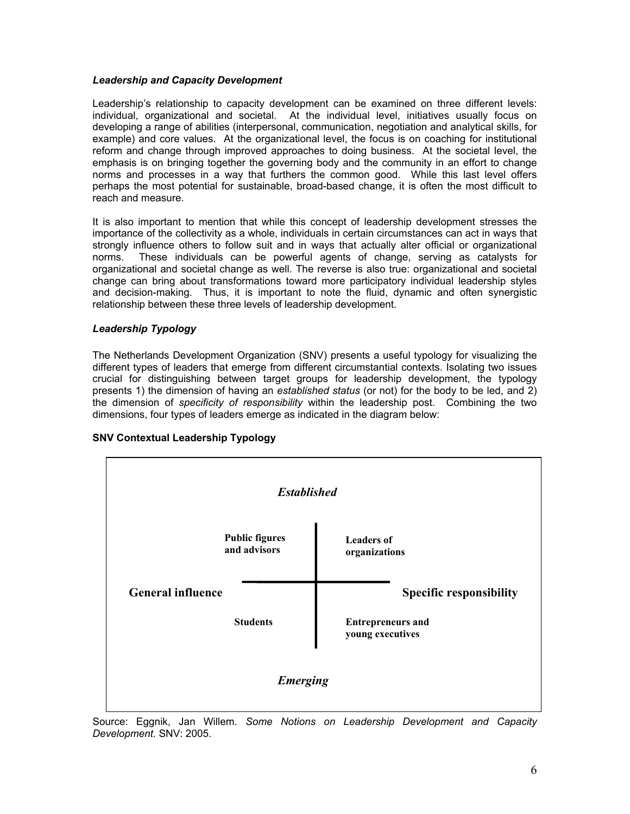### *Leadership and Capacity Development*

Leadership's relationship to capacity development can be examined on three different levels: individual, organizational and societal. At the individual level, initiatives usually focus on developing a range of abilities (interpersonal, communication, negotiation and analytical skills, for example) and core values. At the organizational level, the focus is on coaching for institutional reform and change through improved approaches to doing business. At the societal level, the emphasis is on bringing together the governing body and the community in an effort to change norms and processes in a way that furthers the common good. While this last level offers perhaps the most potential for sustainable, broad-based change, it is often the most difficult to reach and measure.

It is also important to mention that while this concept of leadership development stresses the importance of the collectivity as a whole, individuals in certain circumstances can act in ways that strongly influence others to follow suit and in ways that actually alter official or organizational norms. These individuals can be powerful agents of change, serving as catalysts for organizational and societal change as well. The reverse is also true: organizational and societal change can bring about transformations toward more participatory individual leadership styles and decision-making. Thus, it is important to note the fluid, dynamic and often synergistic relationship between these three levels of leadership development.

#### *Leadership Typology*

The Netherlands Development Organization (SNV) presents a useful typology for visualizing the different types of leaders that emerge from different circumstantial contexts. Isolating two issues crucial for distinguishing between target groups for leadership development, the typology presents 1) the dimension of having an *established status* (or not) for the body to be led, and 2) the dimension of *specificity of responsibility* within the leadership post. Combining the two dimensions, four types of leaders emerge as indicated in the diagram below:

#### **SNV Contextual Leadership Typology**



Source: Eggnik, Jan Willem. *Some Notions on Leadership Development and Capacity Development.* SNV: 2005.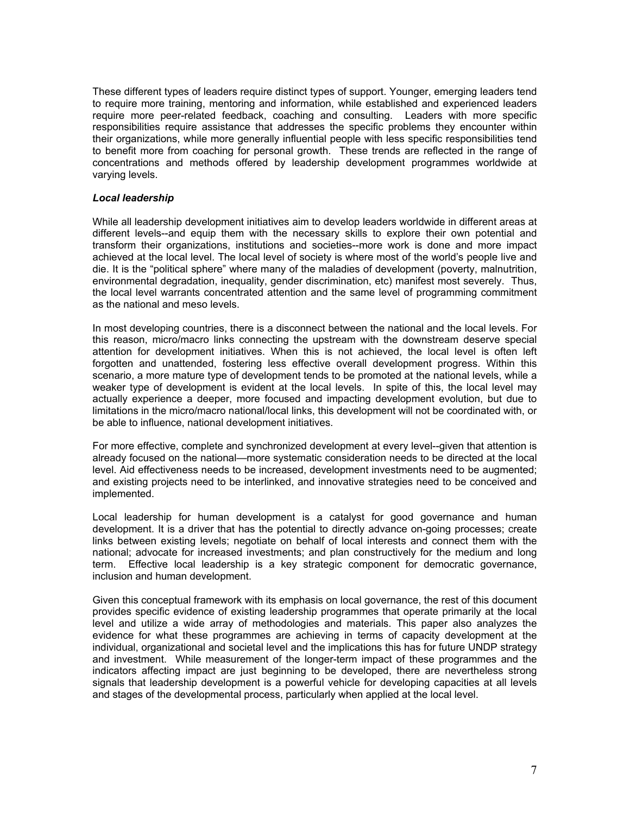These different types of leaders require distinct types of support. Younger, emerging leaders tend to require more training, mentoring and information, while established and experienced leaders require more peer-related feedback, coaching and consulting. Leaders with more specific responsibilities require assistance that addresses the specific problems they encounter within their organizations, while more generally influential people with less specific responsibilities tend to benefit more from coaching for personal growth. These trends are reflected in the range of concentrations and methods offered by leadership development programmes worldwide at varying levels.

#### *Local leadership*

While all leadership development initiatives aim to develop leaders worldwide in different areas at different levels--and equip them with the necessary skills to explore their own potential and transform their organizations, institutions and societies--more work is done and more impact achieved at the local level. The local level of society is where most of the world's people live and die. It is the "political sphere" where many of the maladies of development (poverty, malnutrition, environmental degradation, inequality, gender discrimination, etc) manifest most severely. Thus, the local level warrants concentrated attention and the same level of programming commitment as the national and meso levels.

In most developing countries, there is a disconnect between the national and the local levels. For this reason, micro/macro links connecting the upstream with the downstream deserve special attention for development initiatives. When this is not achieved, the local level is often left forgotten and unattended, fostering less effective overall development progress. Within this scenario, a more mature type of development tends to be promoted at the national levels, while a weaker type of development is evident at the local levels. In spite of this, the local level may actually experience a deeper, more focused and impacting development evolution, but due to limitations in the micro/macro national/local links, this development will not be coordinated with, or be able to influence, national development initiatives.

For more effective, complete and synchronized development at every level--given that attention is already focused on the national—more systematic consideration needs to be directed at the local level. Aid effectiveness needs to be increased, development investments need to be augmented; and existing projects need to be interlinked, and innovative strategies need to be conceived and implemented.

Local leadership for human development is a catalyst for good governance and human development. It is a driver that has the potential to directly advance on-going processes; create links between existing levels; negotiate on behalf of local interests and connect them with the national; advocate for increased investments; and plan constructively for the medium and long term. Effective local leadership is a key strategic component for democratic governance, inclusion and human development.

Given this conceptual framework with its emphasis on local governance, the rest of this document provides specific evidence of existing leadership programmes that operate primarily at the local level and utilize a wide array of methodologies and materials. This paper also analyzes the evidence for what these programmes are achieving in terms of capacity development at the individual, organizational and societal level and the implications this has for future UNDP strategy and investment. While measurement of the longer-term impact of these programmes and the indicators affecting impact are just beginning to be developed, there are nevertheless strong signals that leadership development is a powerful vehicle for developing capacities at all levels and stages of the developmental process, particularly when applied at the local level.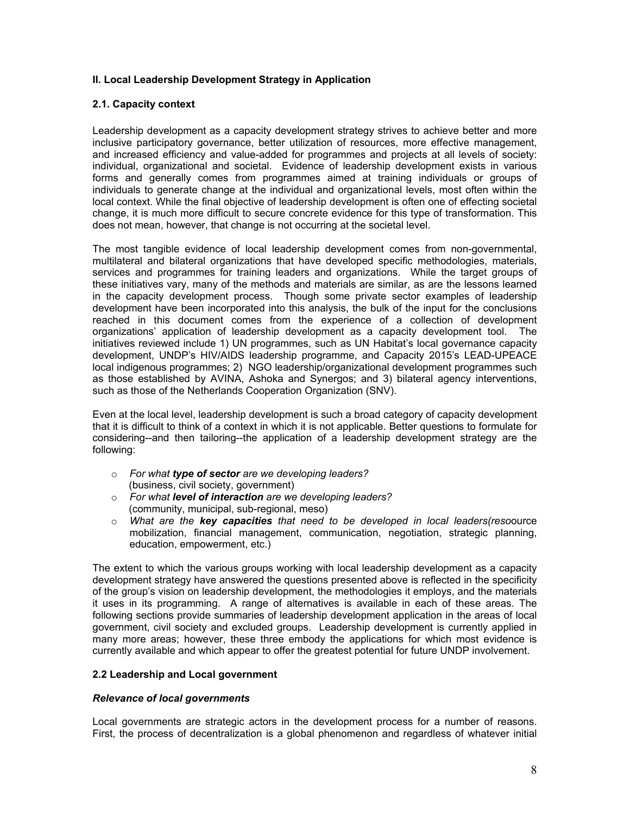### **II. Local Leadership Development Strategy in Application**

### **2.1. Capacity context**

Leadership development as a capacity development strategy strives to achieve better and more inclusive participatory governance, better utilization of resources, more effective management, and increased efficiency and value-added for programmes and projects at all levels of society: individual, organizational and societal. Evidence of leadership development exists in various forms and generally comes from programmes aimed at training individuals or groups of individuals to generate change at the individual and organizational levels, most often within the local context. While the final objective of leadership development is often one of effecting societal change, it is much more difficult to secure concrete evidence for this type of transformation. This does not mean, however, that change is not occurring at the societal level.

The most tangible evidence of local leadership development comes from non-governmental, multilateral and bilateral organizations that have developed specific methodologies, materials, services and programmes for training leaders and organizations. While the target groups of these initiatives vary, many of the methods and materials are similar, as are the lessons learned in the capacity development process. Though some private sector examples of leadership development have been incorporated into this analysis, the bulk of the input for the conclusions reached in this document comes from the experience of a collection of development organizations' application of leadership development as a capacity development tool. The initiatives reviewed include 1) UN programmes, such as UN Habitat's local governance capacity development, UNDP's HIV/AIDS leadership programme, and Capacity 2015's LEAD-UPEACE local indigenous programmes; 2) NGO leadership/organizational development programmes such as those established by AVINA, Ashoka and Synergos; and 3) bilateral agency interventions, such as those of the Netherlands Cooperation Organization (SNV).

Even at the local level, leadership development is such a broad category of capacity development that it is difficult to think of a context in which it is not applicable. Better questions to formulate for considering--and then tailoring--the application of a leadership development strategy are the following:

- o *For what type of sector are we developing leaders?* (business, civil society, government)
- o *For what level of interaction are we developing leaders?* (community, municipal, sub-regional, meso)
- o *What are the key capacities that need to be developed in local leaders(reso*ource mobilization, financial management, communication, negotiation, strategic planning, education, empowerment, etc.)

The extent to which the various groups working with local leadership development as a capacity development strategy have answered the questions presented above is reflected in the specificity of the group's vision on leadership development, the methodologies it employs, and the materials it uses in its programming. A range of alternatives is available in each of these areas. The following sections provide summaries of leadership development application in the areas of local government, civil society and excluded groups. Leadership development is currently applied in many more areas; however, these three embody the applications for which most evidence is currently available and which appear to offer the greatest potential for future UNDP involvement.

### **2.2 Leadership and Local government**

#### *Relevance of local governments*

Local governments are strategic actors in the development process for a number of reasons. First, the process of decentralization is a global phenomenon and regardless of whatever initial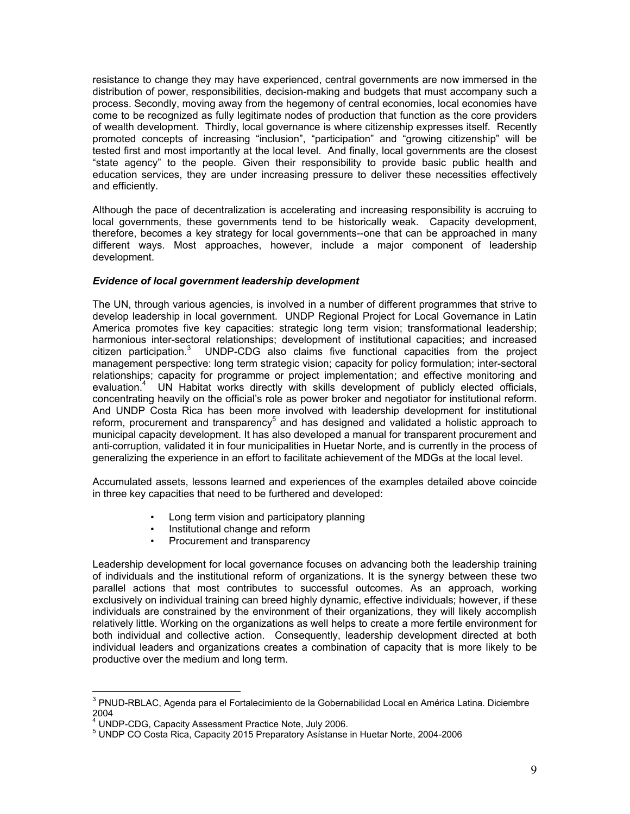resistance to change they may have experienced, central governments are now immersed in the distribution of power, responsibilities, decision-making and budgets that must accompany such a process. Secondly, moving away from the hegemony of central economies, local economies have come to be recognized as fully legitimate nodes of production that function as the core providers of wealth development. Thirdly, local governance is where citizenship expresses itself. Recently promoted concepts of increasing "inclusion", "participation" and "growing citizenship" will be tested first and most importantly at the local level. And finally, local governments are the closest "state agency" to the people. Given their responsibility to provide basic public health and education services, they are under increasing pressure to deliver these necessities effectively and efficiently.

Although the pace of decentralization is accelerating and increasing responsibility is accruing to local governments, these governments tend to be historically weak. Capacity development, therefore, becomes a key strategy for local governments--one that can be approached in many different ways. Most approaches, however, include a major component of leadership development.

#### *Evidence of local government leadership development*

The UN, through various agencies, is involved in a number of different programmes that strive to develop leadership in local government. UNDP Regional Project for Local Governance in Latin America promotes five key capacities: strategic long term vision; transformational leadership; harmonious inter-sectoral relationships; development of institutional capacities; and increased citizen participation.<sup>3</sup> UNDP-CDG also claims five functional capacities from the project management perspective: long term strategic vision; capacity for policy formulation; inter-sectoral relationships; capacity for programme or project implementation; and effective monitoring and evaluation.<sup>4</sup> UN Habitat works directly with skills development of publicly elected officials, concentrating heavily on the official's role as power broker and negotiator for institutional reform. And UNDP Costa Rica has been more involved with leadership development for institutional reform, procurement and transparency<sup>5</sup> and has designed and validated a holistic approach to municipal capacity development. It has also developed a manual for transparent procurement and anti-corruption, validated it in four municipalities in Huetar Norte, and is currently in the process of generalizing the experience in an effort to facilitate achievement of the MDGs at the local level.

Accumulated assets, lessons learned and experiences of the examples detailed above coincide in three key capacities that need to be furthered and developed:

- Long term vision and participatory planning
- Institutional change and reform
- Procurement and transparency

Leadership development for local governance focuses on advancing both the leadership training of individuals and the institutional reform of organizations. It is the synergy between these two parallel actions that most contributes to successful outcomes. As an approach, working exclusively on individual training can breed highly dynamic, effective individuals; however, if these individuals are constrained by the environment of their organizations, they will likely accomplish relatively little. Working on the organizations as well helps to create a more fertile environment for both individual and collective action. Consequently, leadership development directed at both individual leaders and organizations creates a combination of capacity that is more likely to be productive over the medium and long term.

 3 PNUD-RBLAC, Agenda para el Fortalecimiento de la Gobernabilidad Local en América Latina. Diciembre 2004

<sup>&</sup>lt;sup>4</sup> UNDP-CDG, Capacity Assessment Practice Note, July 2006.

<sup>5</sup> UNDP CO Costa Rica, Capacity 2015 Preparatory Asístanse in Huetar Norte, 2004-2006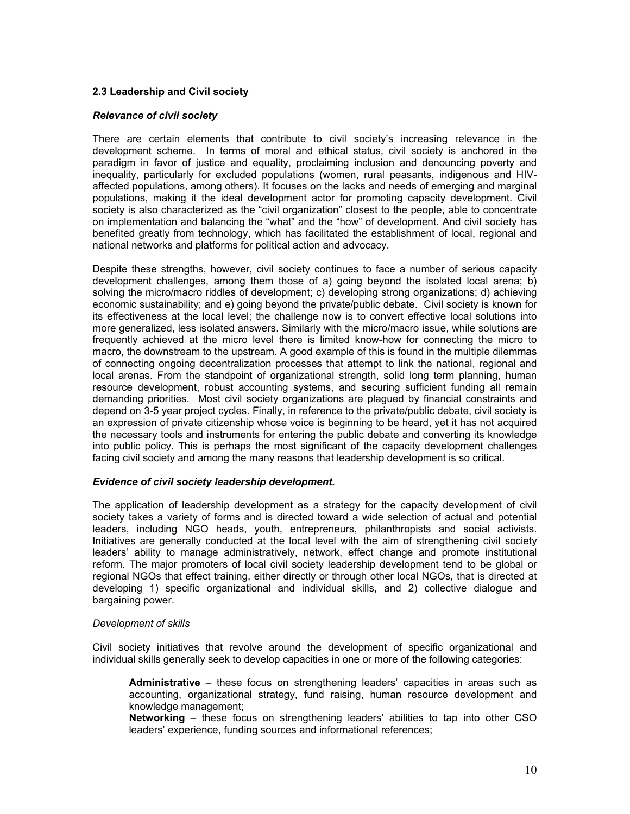#### **2.3 Leadership and Civil society**

#### *Relevance of civil society*

There are certain elements that contribute to civil society's increasing relevance in the development scheme. In terms of moral and ethical status, civil society is anchored in the paradigm in favor of justice and equality, proclaiming inclusion and denouncing poverty and inequality, particularly for excluded populations (women, rural peasants, indigenous and HIVaffected populations, among others). It focuses on the lacks and needs of emerging and marginal populations, making it the ideal development actor for promoting capacity development. Civil society is also characterized as the "civil organization" closest to the people, able to concentrate on implementation and balancing the "what" and the "how" of development. And civil society has benefited greatly from technology, which has facilitated the establishment of local, regional and national networks and platforms for political action and advocacy.

Despite these strengths, however, civil society continues to face a number of serious capacity development challenges, among them those of a) going beyond the isolated local arena; b) solving the micro/macro riddles of development; c) developing strong organizations; d) achieving economic sustainability; and e) going beyond the private/public debate. Civil society is known for its effectiveness at the local level; the challenge now is to convert effective local solutions into more generalized, less isolated answers. Similarly with the micro/macro issue, while solutions are frequently achieved at the micro level there is limited know-how for connecting the micro to macro, the downstream to the upstream. A good example of this is found in the multiple dilemmas of connecting ongoing decentralization processes that attempt to link the national, regional and local arenas. From the standpoint of organizational strength, solid long term planning, human resource development, robust accounting systems, and securing sufficient funding all remain demanding priorities. Most civil society organizations are plagued by financial constraints and depend on 3-5 year project cycles. Finally, in reference to the private/public debate, civil society is an expression of private citizenship whose voice is beginning to be heard, yet it has not acquired the necessary tools and instruments for entering the public debate and converting its knowledge into public policy. This is perhaps the most significant of the capacity development challenges facing civil society and among the many reasons that leadership development is so critical.

#### *Evidence of civil society leadership development.*

The application of leadership development as a strategy for the capacity development of civil society takes a variety of forms and is directed toward a wide selection of actual and potential leaders, including NGO heads, youth, entrepreneurs, philanthropists and social activists. Initiatives are generally conducted at the local level with the aim of strengthening civil society leaders' ability to manage administratively, network, effect change and promote institutional reform. The major promoters of local civil society leadership development tend to be global or regional NGOs that effect training, either directly or through other local NGOs, that is directed at developing 1) specific organizational and individual skills, and 2) collective dialogue and bargaining power.

#### *Development of skills*

Civil society initiatives that revolve around the development of specific organizational and individual skills generally seek to develop capacities in one or more of the following categories:

**Administrative** – these focus on strengthening leaders' capacities in areas such as accounting, organizational strategy, fund raising, human resource development and knowledge management;

**Networking** – these focus on strengthening leaders' abilities to tap into other CSO leaders' experience, funding sources and informational references;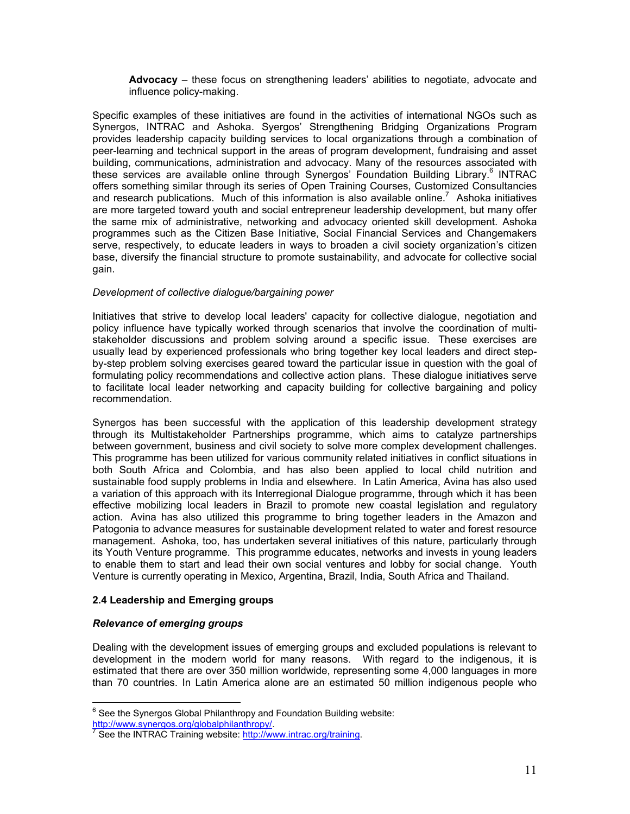**Advocacy** – these focus on strengthening leaders' abilities to negotiate, advocate and influence policy-making.

Specific examples of these initiatives are found in the activities of international NGOs such as Synergos, INTRAC and Ashoka. Syergos' Strengthening Bridging Organizations Program provides leadership capacity building services to local organizations through a combination of peer-learning and technical support in the areas of program development, fundraising and asset building, communications, administration and advocacy. Many of the resources associated with these services are available online through Synergos' Foundation Building Library.<sup>6</sup> INTRAC offers something similar through its series of Open Training Courses, Customized Consultancies and research publications. Much of this information is also available online.<sup>7</sup> Ashoka initiatives are more targeted toward youth and social entrepreneur leadership development, but many offer the same mix of administrative, networking and advocacy oriented skill development. Ashoka programmes such as the Citizen Base Initiative, Social Financial Services and Changemakers serve, respectively, to educate leaders in ways to broaden a civil society organization's citizen base, diversify the financial structure to promote sustainability, and advocate for collective social gain.

#### *Development of collective dialogue/bargaining power*

Initiatives that strive to develop local leaders' capacity for collective dialogue, negotiation and policy influence have typically worked through scenarios that involve the coordination of multistakeholder discussions and problem solving around a specific issue. These exercises are usually lead by experienced professionals who bring together key local leaders and direct stepby-step problem solving exercises geared toward the particular issue in question with the goal of formulating policy recommendations and collective action plans. These dialogue initiatives serve to facilitate local leader networking and capacity building for collective bargaining and policy recommendation.

Synergos has been successful with the application of this leadership development strategy through its Multistakeholder Partnerships programme, which aims to catalyze partnerships between government, business and civil society to solve more complex development challenges. This programme has been utilized for various community related initiatives in conflict situations in both South Africa and Colombia, and has also been applied to local child nutrition and sustainable food supply problems in India and elsewhere. In Latin America, Avina has also used a variation of this approach with its Interregional Dialogue programme, through which it has been effective mobilizing local leaders in Brazil to promote new coastal legislation and regulatory action. Avina has also utilized this programme to bring together leaders in the Amazon and Patogonia to advance measures for sustainable development related to water and forest resource management. Ashoka, too, has undertaken several initiatives of this nature, particularly through its Youth Venture programme. This programme educates, networks and invests in young leaders to enable them to start and lead their own social ventures and lobby for social change. Youth Venture is currently operating in Mexico, Argentina, Brazil, India, South Africa and Thailand.

### **2.4 Leadership and Emerging groups**

#### *Relevance of emerging groups*

Dealing with the development issues of emerging groups and excluded populations is relevant to development in the modern world for many reasons. With regard to the indigenous, it is estimated that there are over 350 million worldwide, representing some 4,000 languages in more than 70 countries. In Latin America alone are an estimated 50 million indigenous people who

 6 See the Synergos Global Philanthropy and Foundation Building website: http://www.synergos.org/globalphilanthropy/.

See the INTRAC Training website: http://www.intrac.org/training.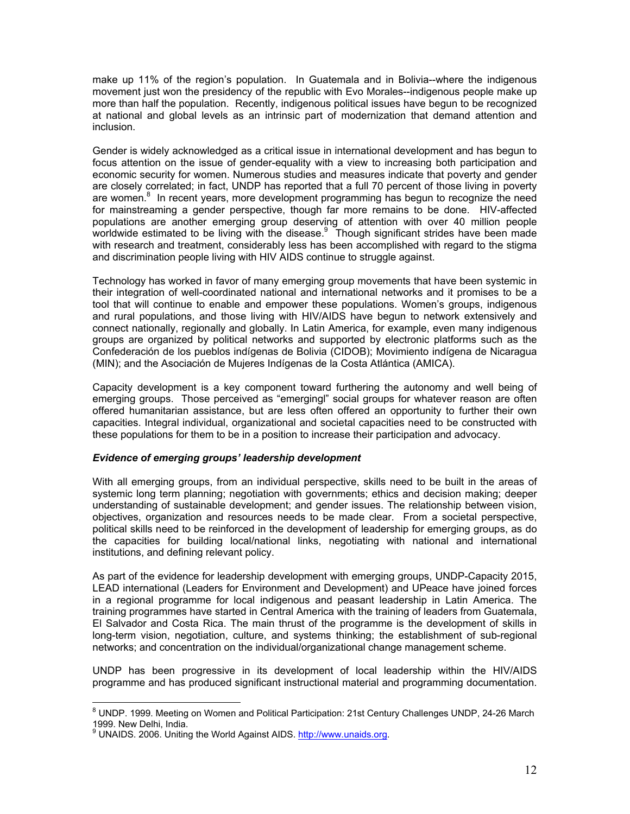make up 11% of the region's population. In Guatemala and in Bolivia--where the indigenous movement just won the presidency of the republic with Evo Morales--indigenous people make up more than half the population. Recently, indigenous political issues have begun to be recognized at national and global levels as an intrinsic part of modernization that demand attention and inclusion.

Gender is widely acknowledged as a critical issue in international development and has begun to focus attention on the issue of gender-equality with a view to increasing both participation and economic security for women. Numerous studies and measures indicate that poverty and gender are closely correlated; in fact, UNDP has reported that a full 70 percent of those living in poverty are women.<sup>8</sup> In recent years, more development programming has begun to recognize the need for mainstreaming a gender perspective, though far more remains to be done. HIV-affected populations are another emerging group deserving of attention with over 40 million people worldwide estimated to be living with the disease. $9\degree$  Though significant strides have been made with research and treatment, considerably less has been accomplished with regard to the stigma and discrimination people living with HIV AIDS continue to struggle against.

Technology has worked in favor of many emerging group movements that have been systemic in their integration of well-coordinated national and international networks and it promises to be a tool that will continue to enable and empower these populations. Women's groups, indigenous and rural populations, and those living with HIV/AIDS have begun to network extensively and connect nationally, regionally and globally. In Latin America, for example, even many indigenous groups are organized by political networks and supported by electronic platforms such as the Confederación de los pueblos indígenas de Bolivia (CIDOB); Movimiento indígena de Nicaragua (MIN); and the Asociación de Mujeres Indígenas de la Costa Atlántica (AMICA).

Capacity development is a key component toward furthering the autonomy and well being of emerging groups. Those perceived as "emergingl" social groups for whatever reason are often offered humanitarian assistance, but are less often offered an opportunity to further their own capacities. Integral individual, organizational and societal capacities need to be constructed with these populations for them to be in a position to increase their participation and advocacy.

### *Evidence of emerging groups' leadership development*

With all emerging groups, from an individual perspective, skills need to be built in the areas of systemic long term planning; negotiation with governments; ethics and decision making; deeper understanding of sustainable development; and gender issues. The relationship between vision, objectives, organization and resources needs to be made clear. From a societal perspective, political skills need to be reinforced in the development of leadership for emerging groups, as do the capacities for building local/national links, negotiating with national and international institutions, and defining relevant policy.

As part of the evidence for leadership development with emerging groups, UNDP-Capacity 2015, LEAD international (Leaders for Environment and Development) and UPeace have joined forces in a regional programme for local indigenous and peasant leadership in Latin America. The training programmes have started in Central America with the training of leaders from Guatemala, El Salvador and Costa Rica. The main thrust of the programme is the development of skills in long-term vision, negotiation, culture, and systems thinking; the establishment of sub-regional networks; and concentration on the individual/organizational change management scheme.

UNDP has been progressive in its development of local leadership within the HIV/AIDS programme and has produced significant instructional material and programming documentation.

 8 UNDP. 1999. Meeting on Women and Political Participation: 21st Century Challenges UNDP, 24-26 March 1999. New Delhi, India.<br><sup>9</sup> UNAIDS, 2006. Unitia

UNAIDS. 2006. Uniting the World Against AIDS. http://www.unaids.org.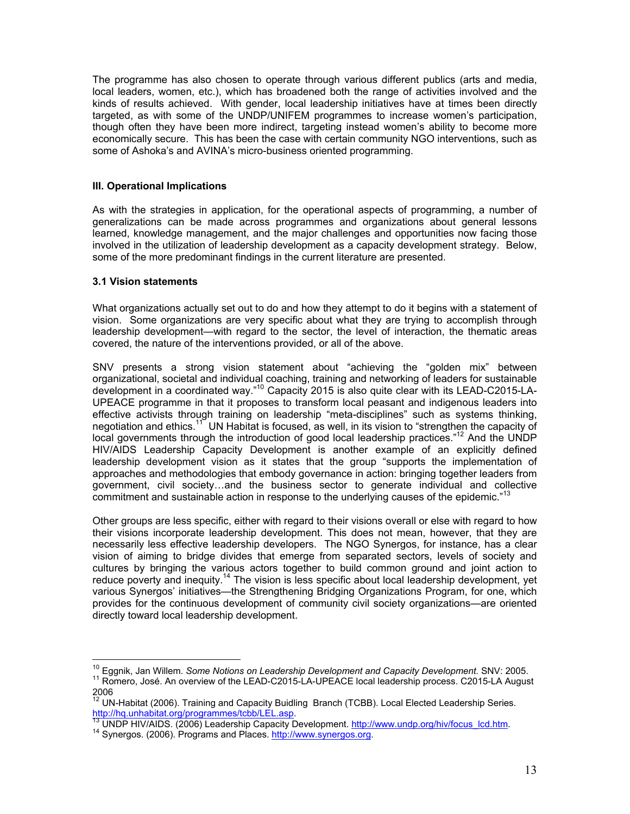The programme has also chosen to operate through various different publics (arts and media, local leaders, women, etc.), which has broadened both the range of activities involved and the kinds of results achieved. With gender, local leadership initiatives have at times been directly targeted, as with some of the UNDP/UNIFEM programmes to increase women's participation, though often they have been more indirect, targeting instead women's ability to become more economically secure. This has been the case with certain community NGO interventions, such as some of Ashoka's and AVINA's micro-business oriented programming.

#### **III. Operational Implications**

As with the strategies in application, for the operational aspects of programming, a number of generalizations can be made across programmes and organizations about general lessons learned, knowledge management, and the major challenges and opportunities now facing those involved in the utilization of leadership development as a capacity development strategy. Below, some of the more predominant findings in the current literature are presented.

#### **3.1 Vision statements**

What organizations actually set out to do and how they attempt to do it begins with a statement of vision. Some organizations are very specific about what they are trying to accomplish through leadership development—with regard to the sector, the level of interaction, the thematic areas covered, the nature of the interventions provided, or all of the above.

SNV presents a strong vision statement about "achieving the "golden mix" between organizational, societal and individual coaching, training and networking of leaders for sustainable development in a coordinated way."10 Capacity 2015 is also quite clear with its LEAD-C2015-LA-UPEACE programme in that it proposes to transform local peasant and indigenous leaders into effective activists through training on leadership "meta-disciplines" such as systems thinking, negotiation and ethics.<sup>11</sup> UN Habitat is focused, as well, in its vision to "strengthen the capacity of local governments through the introduction of good local leadership practices."<sup>12</sup> And the UNDP HIV/AIDS Leadership Capacity Development is another example of an explicitly defined leadership development vision as it states that the group "supports the implementation of approaches and methodologies that embody governance in action: bringing together leaders from government, civil society…and the business sector to generate individual and collective commitment and sustainable action in response to the underlying causes of the epidemic."<sup>13</sup>

Other groups are less specific, either with regard to their visions overall or else with regard to how their visions incorporate leadership development. This does not mean, however, that they are necessarily less effective leadership developers. The NGO Synergos, for instance, has a clear vision of aiming to bridge divides that emerge from separated sectors, levels of society and cultures by bringing the various actors together to build common ground and joint action to reduce poverty and inequity.<sup>14</sup> The vision is less specific about local leadership development, yet various Synergos' initiatives—the Strengthening Bridging Organizations Program, for one, which provides for the continuous development of community civil society organizations—are oriented directly toward local leadership development.

<sup>&</sup>lt;sup>10</sup> Eggnik, Jan Willem. Some Notions on Leadership Development and Capacity Development. SNV: 2005. <sup>11</sup> Romero, José. An overview of the LEAD-C2015-LA-UPEACE local leadership process. C2015-LA August

<sup>2006</sup>  $12$  UN-Habitat (2006). Training and Capacity Buidling Branch (TCBB). Local Elected Leadership Series.

http://hq.unhabitat.org/programmes/tcbb/LEL.asp.<br><sup>13</sup> UNDP HIV/AIDS. (2006) Leadership Capacity Development. http://www.undp.org/hiv/focus\_lcd.htm.<br><sup>14</sup> Synergos. (2006). Programs and Places. http://www.synergos.org.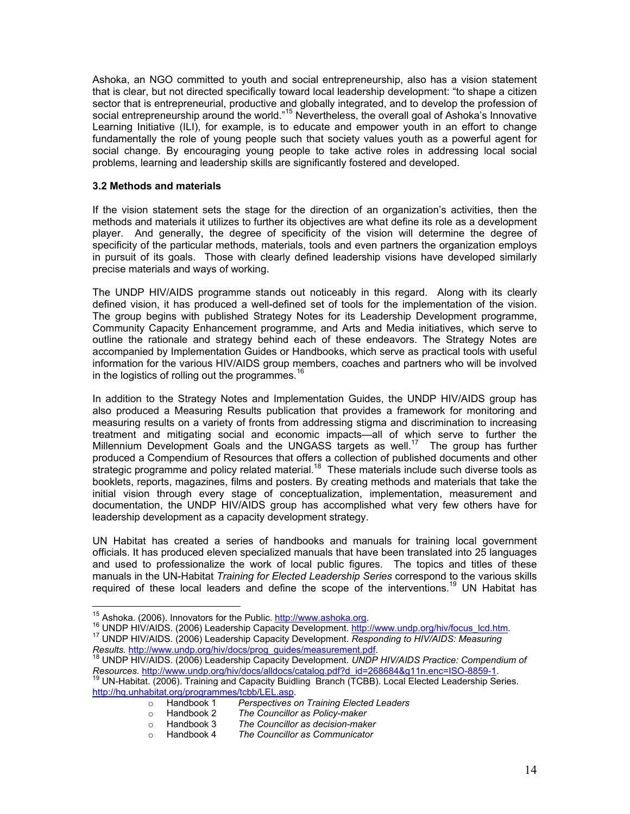Ashoka, an NGO committed to youth and social entrepreneurship, also has a vision statement that is clear, but not directed specifically toward local leadership development: "to shape a citizen sector that is entrepreneurial, productive and globally integrated, and to develop the profession of social entrepreneurship around the world."<sup>15</sup> Nevertheless, the overall goal of Ashoka's Innovative Learning Initiative (ILI), for example, is to educate and empower youth in an effort to change fundamentally the role of young people such that society values youth as a powerful agent for social change. By encouraging young people to take active roles in addressing local social problems, learning and leadership skills are significantly fostered and developed.

#### **3.2 Methods and materials**

If the vision statement sets the stage for the direction of an organization's activities, then the methods and materials it utilizes to further its objectives are what define its role as a development player. And generally, the degree of specificity of the vision will determine the degree of specificity of the particular methods, materials, tools and even partners the organization employs in pursuit of its goals. Those with clearly defined leadership visions have developed similarly precise materials and ways of working.

The UNDP HIV/AIDS programme stands out noticeably in this regard. Along with its clearly defined vision, it has produced a well-defined set of tools for the implementation of the vision. The group begins with published Strategy Notes for its Leadership Development programme, Community Capacity Enhancement programme, and Arts and Media initiatives, which serve to outline the rationale and strategy behind each of these endeavors. The Strategy Notes are accompanied by Implementation Guides or Handbooks, which serve as practical tools with useful information for the various HIV/AIDS group members, coaches and partners who will be involved in the logistics of rolling out the programmes.<sup>16</sup>

In addition to the Strategy Notes and Implementation Guides, the UNDP HIV/AIDS group has also produced a Measuring Results publication that provides a framework for monitoring and measuring results on a variety of fronts from addressing stigma and discrimination to increasing treatment and mitigating social and economic impacts—all of which serve to further the Millennium Development Goals and the UNGASS targets as well.<sup>17</sup> The group has further produced a Compendium of Resources that offers a collection of published documents and other strategic programme and policy related material.<sup>18</sup> These materials include such diverse tools as booklets, reports, magazines, films and posters. By creating methods and materials that take the initial vision through every stage of conceptualization, implementation, measurement and documentation, the UNDP HIV/AIDS group has accomplished what very few others have for leadership development as a capacity development strategy.

UN Habitat has created a series of handbooks and manuals for training local government officials. It has produced eleven specialized manuals that have been translated into 25 languages and used to professionalize the work of local public figures. The topics and titles of these manuals in the UN-Habitat *Training for Elected Leadership Series* correspond to the various skills required of these local leaders and define the scope of the interventions.<sup>19</sup> UN Habitat has

http://hq.unhabitat.org/programmes/tcbb/LEL.asp.

<sup>&</sup>lt;sup>15</sup> Ashoka. (2006). Innovators for the Public. http://www.ashoka.org.

<sup>&</sup>lt;sup>16</sup> UNDP HIV/AIDS. (2006) Leadership Capacity Development. http://www.undp.org/hiv/focus\_lcd.htm.<br><sup>17</sup> UNDP HIV/AIDS. (2006) Leadership Capacity Development. Responding to HIV/AIDS: Measuring

*Results.* http://www.undp.org/hiv/docs/prog\_guides/measurement.pdf. 18 UNDP HIV/AIDS. (2006) Leadership Capacity Development. *UNDP HIV/AIDS Practice: Compendium of Resources.* http://www.undp.org/hiv/docs/alldocs/catalog.pdf?d\_id=268684&g11n.enc=ISO-8859-1. 19 UN-Habitat. (2006). Training and Capacity Buidling Branch (TCBB). Local Elected Leadership Series.

o Handbook 1 *Perspectives on Training Elected Leaders*

o Handbook 2 *The Councillor as Policy-maker*

o Handbook 3 *The Councillor as decision-maker*

o Handbook 4 *The Councillor as Communicator*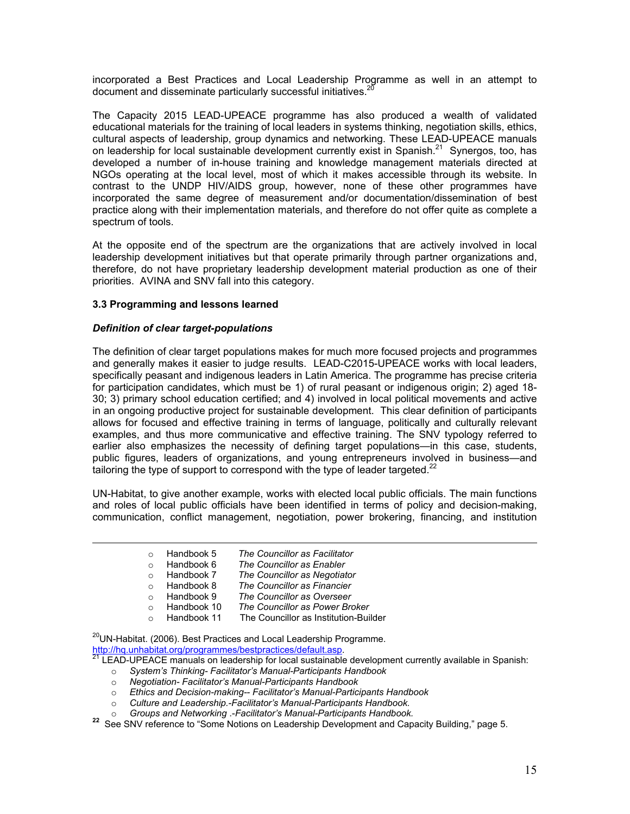incorporated a Best Practices and Local Leadership Programme as well in an attempt to document and disseminate particularly successful initiatives.<sup>20</sup>

The Capacity 2015 LEAD-UPEACE programme has also produced a wealth of validated educational materials for the training of local leaders in systems thinking, negotiation skills, ethics, cultural aspects of leadership, group dynamics and networking. These LEAD-UPEACE manuals on leadership for local sustainable development currently exist in Spanish.<sup>21</sup> Synergos, too, has developed a number of in-house training and knowledge management materials directed at NGOs operating at the local level, most of which it makes accessible through its website. In contrast to the UNDP HIV/AIDS group, however, none of these other programmes have incorporated the same degree of measurement and/or documentation/dissemination of best practice along with their implementation materials, and therefore do not offer quite as complete a spectrum of tools.

At the opposite end of the spectrum are the organizations that are actively involved in local leadership development initiatives but that operate primarily through partner organizations and, therefore, do not have proprietary leadership development material production as one of their priorities. AVINA and SNV fall into this category.

#### **3.3 Programming and lessons learned**

#### *Definition of clear target-populations*

 $\overline{a}$ 

The definition of clear target populations makes for much more focused projects and programmes and generally makes it easier to judge results. LEAD-C2015-UPEACE works with local leaders, specifically peasant and indigenous leaders in Latin America. The programme has precise criteria for participation candidates, which must be 1) of rural peasant or indigenous origin; 2) aged 18- 30; 3) primary school education certified; and 4) involved in local political movements and active in an ongoing productive project for sustainable development. This clear definition of participants allows for focused and effective training in terms of language, politically and culturally relevant examples, and thus more communicative and effective training. The SNV typology referred to earlier also emphasizes the necessity of defining target populations—in this case, students, public figures, leaders of organizations, and young entrepreneurs involved in business—and tailoring the type of support to correspond with the type of leader targeted. $^{22}$ 

UN-Habitat, to give another example, works with elected local public officials. The main functions and roles of local public officials have been identified in terms of policy and decision-making, communication, conflict management, negotiation, power brokering, financing, and institution

| Handbook 5 | The Councillor as Facilitator |
|------------|-------------------------------|
|            |                               |

- o Handbook 6 *The Councillor as Enabler*
- o Handbook 7 *The Councillor as Negotiator*
- o Handbook 8 *The Councillor as Financier*
- o Handbook 9 *The Councillor as Overseer*
- o Handbook 10 *The Councillor as Power Broker*
- o Handbook 11 The Councillor as Institution-Builder

<sup>20</sup>UN-Habitat. (2006). Best Practices and Local Leadership Programme.

http://hq.unhabitat.org/programmes/bestpractices/default.asp.<br><sup>21</sup> LEAD-UPEACE manuals on leadership for local sustainable development currently available in Spanish:

- o *System's Thinking- Facilitator's Manual-Participants Handbook*
- o *Negotiation- Facilitator's Manual-Participants Handbook*
- o *Ethics and Decision-making-- Facilitator's Manual-Participants Handbook*
- o *Culture and Leadership.-Facilitator's Manual-Participants Handbook.*
- 

<sup>22</sup> See SNV reference to "Some Notions on Leadership Development and Capacity Building," page 5.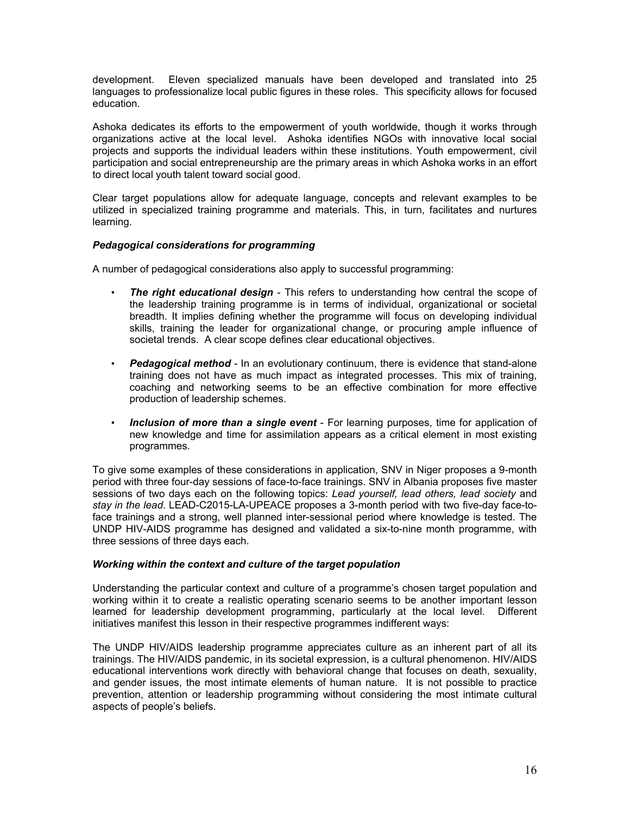development. Eleven specialized manuals have been developed and translated into 25 languages to professionalize local public figures in these roles. This specificity allows for focused education.

Ashoka dedicates its efforts to the empowerment of youth worldwide, though it works through organizations active at the local level. Ashoka identifies NGOs with innovative local social projects and supports the individual leaders within these institutions. Youth empowerment, civil participation and social entrepreneurship are the primary areas in which Ashoka works in an effort to direct local youth talent toward social good.

Clear target populations allow for adequate language, concepts and relevant examples to be utilized in specialized training programme and materials. This, in turn, facilitates and nurtures learning.

#### *Pedagogical considerations for programming*

A number of pedagogical considerations also apply to successful programming:

- **The right educational design** This refers to understanding how central the scope of the leadership training programme is in terms of individual, organizational or societal breadth. It implies defining whether the programme will focus on developing individual skills, training the leader for organizational change, or procuring ample influence of societal trends. A clear scope defines clear educational objectives.
- *Pedagogical method* In an evolutionary continuum, there is evidence that stand-alone training does not have as much impact as integrated processes. This mix of training, coaching and networking seems to be an effective combination for more effective production of leadership schemes.
- *Inclusion of more than a single event* For learning purposes, time for application of new knowledge and time for assimilation appears as a critical element in most existing programmes.

To give some examples of these considerations in application, SNV in Niger proposes a 9-month period with three four-day sessions of face-to-face trainings. SNV in Albania proposes five master sessions of two days each on the following topics: *Lead yourself, lead others, lead society* and *stay in the lead*. LEAD-C2015-LA-UPEACE proposes a 3-month period with two five-day face-toface trainings and a strong, well planned inter-sessional period where knowledge is tested. The UNDP HIV-AIDS programme has designed and validated a six-to-nine month programme, with three sessions of three days each.

#### *Working within the context and culture of the target population*

Understanding the particular context and culture of a programme's chosen target population and working within it to create a realistic operating scenario seems to be another important lesson learned for leadership development programming, particularly at the local level. Different initiatives manifest this lesson in their respective programmes indifferent ways:

The UNDP HIV/AIDS leadership programme appreciates culture as an inherent part of all its trainings. The HIV/AIDS pandemic, in its societal expression, is a cultural phenomenon. HIV/AIDS educational interventions work directly with behavioral change that focuses on death, sexuality, and gender issues, the most intimate elements of human nature. It is not possible to practice prevention, attention or leadership programming without considering the most intimate cultural aspects of people's beliefs.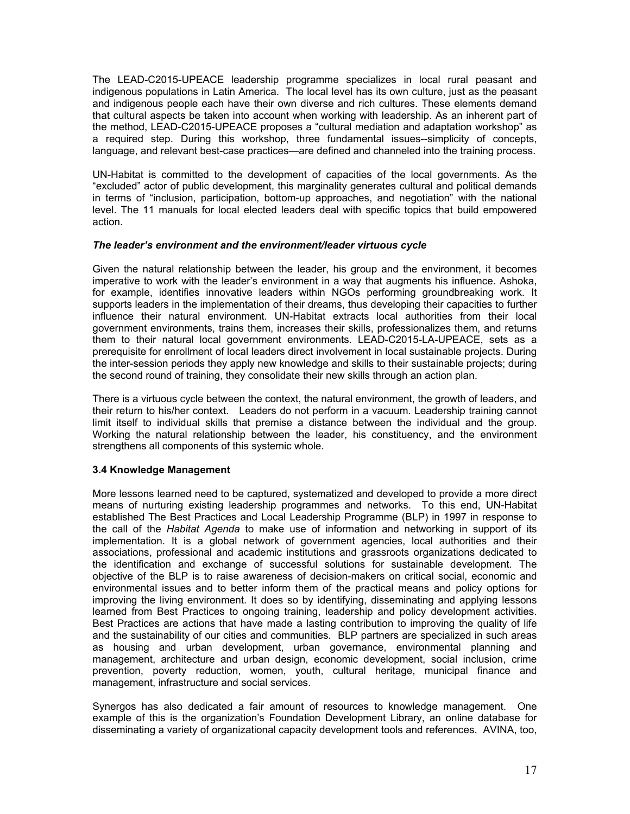The LEAD-C2015-UPEACE leadership programme specializes in local rural peasant and indigenous populations in Latin America. The local level has its own culture, just as the peasant and indigenous people each have their own diverse and rich cultures. These elements demand that cultural aspects be taken into account when working with leadership. As an inherent part of the method, LEAD-C2015-UPEACE proposes a "cultural mediation and adaptation workshop" as a required step. During this workshop, three fundamental issues--simplicity of concepts, language, and relevant best-case practices—are defined and channeled into the training process.

UN-Habitat is committed to the development of capacities of the local governments. As the "excluded" actor of public development, this marginality generates cultural and political demands in terms of "inclusion, participation, bottom-up approaches, and negotiation" with the national level. The 11 manuals for local elected leaders deal with specific topics that build empowered action.

#### *The leader's environment and the environment/leader virtuous cycle*

Given the natural relationship between the leader, his group and the environment, it becomes imperative to work with the leader's environment in a way that augments his influence. Ashoka, for example, identifies innovative leaders within NGOs performing groundbreaking work. It supports leaders in the implementation of their dreams, thus developing their capacities to further influence their natural environment. UN-Habitat extracts local authorities from their local government environments, trains them, increases their skills, professionalizes them, and returns them to their natural local government environments. LEAD-C2015-LA-UPEACE, sets as a prerequisite for enrollment of local leaders direct involvement in local sustainable projects. During the inter-session periods they apply new knowledge and skills to their sustainable projects; during the second round of training, they consolidate their new skills through an action plan.

There is a virtuous cycle between the context, the natural environment, the growth of leaders, and their return to his/her context. Leaders do not perform in a vacuum. Leadership training cannot limit itself to individual skills that premise a distance between the individual and the group. Working the natural relationship between the leader, his constituency, and the environment strengthens all components of this systemic whole.

### **3.4 Knowledge Management**

More lessons learned need to be captured, systematized and developed to provide a more direct means of nurturing existing leadership programmes and networks. To this end, UN-Habitat established The Best Practices and Local Leadership Programme (BLP) in 1997 in response to the call of the *Habitat Agenda* to make use of information and networking in support of its implementation. It is a global network of government agencies, local authorities and their associations, professional and academic institutions and grassroots organizations dedicated to the identification and exchange of successful solutions for sustainable development. The objective of the BLP is to raise awareness of decision-makers on critical social, economic and environmental issues and to better inform them of the practical means and policy options for improving the living environment. It does so by identifying, disseminating and applying lessons learned from Best Practices to ongoing training, leadership and policy development activities. Best Practices are actions that have made a lasting contribution to improving the quality of life and the sustainability of our cities and communities. BLP partners are specialized in such areas as housing and urban development, urban governance, environmental planning and management, architecture and urban design, economic development, social inclusion, crime prevention, poverty reduction, women, youth, cultural heritage, municipal finance and management, infrastructure and social services.

Synergos has also dedicated a fair amount of resources to knowledge management. One example of this is the organization's Foundation Development Library, an online database for disseminating a variety of organizational capacity development tools and references. AVINA, too,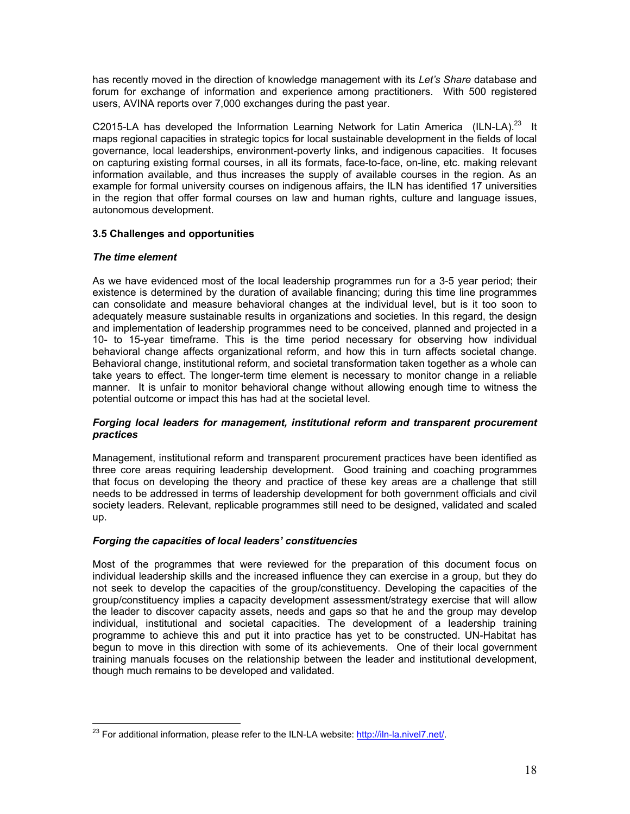has recently moved in the direction of knowledge management with its *Let's Share* database and forum for exchange of information and experience among practitioners. With 500 registered users, AVINA reports over 7,000 exchanges during the past year.

C2015-LA has developed the Information Learning Network for Latin America  $(ILN-LA)^{23}$  It maps regional capacities in strategic topics for local sustainable development in the fields of local governance, local leaderships, environment-poverty links, and indigenous capacities. It focuses on capturing existing formal courses, in all its formats, face-to-face, on-line, etc. making relevant information available, and thus increases the supply of available courses in the region. As an example for formal university courses on indigenous affairs, the ILN has identified 17 universities in the region that offer formal courses on law and human rights, culture and language issues, autonomous development.

### **3.5 Challenges and opportunities**

### *The time element*

As we have evidenced most of the local leadership programmes run for a 3-5 year period; their existence is determined by the duration of available financing; during this time line programmes can consolidate and measure behavioral changes at the individual level, but is it too soon to adequately measure sustainable results in organizations and societies. In this regard, the design and implementation of leadership programmes need to be conceived, planned and projected in a 10- to 15-year timeframe. This is the time period necessary for observing how individual behavioral change affects organizational reform, and how this in turn affects societal change. Behavioral change, institutional reform, and societal transformation taken together as a whole can take years to effect. The longer-term time element is necessary to monitor change in a reliable manner. It is unfair to monitor behavioral change without allowing enough time to witness the potential outcome or impact this has had at the societal level.

#### *Forging local leaders for management, institutional reform and transparent procurement practices*

Management, institutional reform and transparent procurement practices have been identified as three core areas requiring leadership development. Good training and coaching programmes that focus on developing the theory and practice of these key areas are a challenge that still needs to be addressed in terms of leadership development for both government officials and civil society leaders. Relevant, replicable programmes still need to be designed, validated and scaled up.

## *Forging the capacities of local leaders' constituencies*

Most of the programmes that were reviewed for the preparation of this document focus on individual leadership skills and the increased influence they can exercise in a group, but they do not seek to develop the capacities of the group/constituency. Developing the capacities of the group/constituency implies a capacity development assessment/strategy exercise that will allow the leader to discover capacity assets, needs and gaps so that he and the group may develop individual, institutional and societal capacities. The development of a leadership training programme to achieve this and put it into practice has yet to be constructed. UN-Habitat has begun to move in this direction with some of its achievements. One of their local government training manuals focuses on the relationship between the leader and institutional development, though much remains to be developed and validated.

 $\overline{a}$ <sup>23</sup> For additional information, please refer to the ILN-LA website: http://iln-la.nivel7.net/.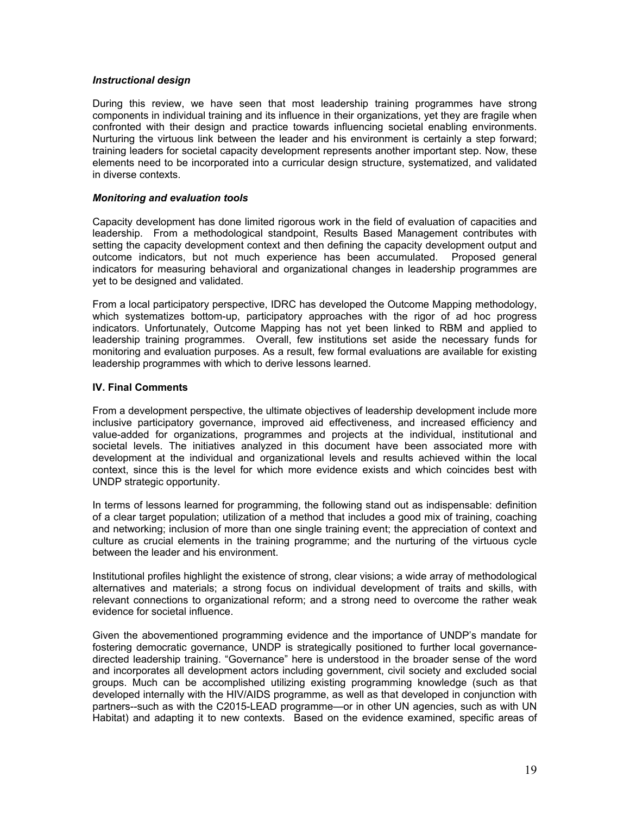#### *Instructional design*

During this review, we have seen that most leadership training programmes have strong components in individual training and its influence in their organizations, yet they are fragile when confronted with their design and practice towards influencing societal enabling environments. Nurturing the virtuous link between the leader and his environment is certainly a step forward; training leaders for societal capacity development represents another important step. Now, these elements need to be incorporated into a curricular design structure, systematized, and validated in diverse contexts.

#### *Monitoring and evaluation tools*

Capacity development has done limited rigorous work in the field of evaluation of capacities and leadership. From a methodological standpoint, Results Based Management contributes with setting the capacity development context and then defining the capacity development output and outcome indicators, but not much experience has been accumulated. Proposed general indicators for measuring behavioral and organizational changes in leadership programmes are yet to be designed and validated.

From a local participatory perspective, IDRC has developed the Outcome Mapping methodology, which systematizes bottom-up, participatory approaches with the rigor of ad hoc progress indicators. Unfortunately, Outcome Mapping has not yet been linked to RBM and applied to leadership training programmes. Overall, few institutions set aside the necessary funds for monitoring and evaluation purposes. As a result, few formal evaluations are available for existing leadership programmes with which to derive lessons learned.

#### **IV. Final Comments**

From a development perspective, the ultimate objectives of leadership development include more inclusive participatory governance, improved aid effectiveness, and increased efficiency and value-added for organizations, programmes and projects at the individual, institutional and societal levels. The initiatives analyzed in this document have been associated more with development at the individual and organizational levels and results achieved within the local context, since this is the level for which more evidence exists and which coincides best with UNDP strategic opportunity.

In terms of lessons learned for programming, the following stand out as indispensable: definition of a clear target population; utilization of a method that includes a good mix of training, coaching and networking; inclusion of more than one single training event; the appreciation of context and culture as crucial elements in the training programme; and the nurturing of the virtuous cycle between the leader and his environment.

Institutional profiles highlight the existence of strong, clear visions; a wide array of methodological alternatives and materials; a strong focus on individual development of traits and skills, with relevant connections to organizational reform; and a strong need to overcome the rather weak evidence for societal influence.

Given the abovementioned programming evidence and the importance of UNDP's mandate for fostering democratic governance, UNDP is strategically positioned to further local governancedirected leadership training. "Governance" here is understood in the broader sense of the word and incorporates all development actors including government, civil society and excluded social groups. Much can be accomplished utilizing existing programming knowledge (such as that developed internally with the HIV/AIDS programme, as well as that developed in conjunction with partners--such as with the C2015-LEAD programme—or in other UN agencies, such as with UN Habitat) and adapting it to new contexts. Based on the evidence examined, specific areas of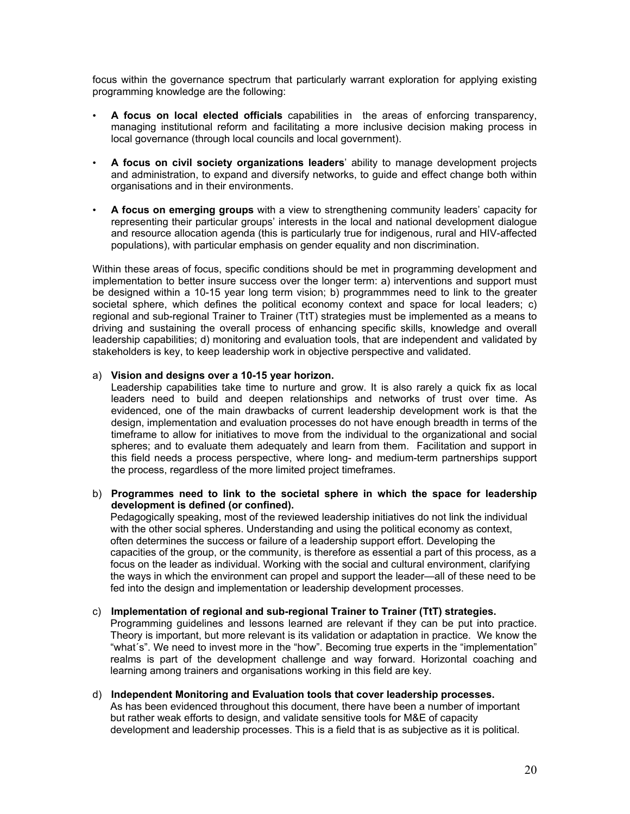focus within the governance spectrum that particularly warrant exploration for applying existing programming knowledge are the following:

- **A focus on local elected officials** capabilities in the areas of enforcing transparency, managing institutional reform and facilitating a more inclusive decision making process in local governance (through local councils and local government).
- **A focus on civil society organizations leaders**' ability to manage development projects and administration, to expand and diversify networks, to guide and effect change both within organisations and in their environments.
- **A focus on emerging groups** with a view to strengthening community leaders' capacity for representing their particular groups' interests in the local and national development dialogue and resource allocation agenda (this is particularly true for indigenous, rural and HIV-affected populations), with particular emphasis on gender equality and non discrimination.

Within these areas of focus, specific conditions should be met in programming development and implementation to better insure success over the longer term: a) interventions and support must be designed within a 10-15 year long term vision; b) programmmes need to link to the greater societal sphere, which defines the political economy context and space for local leaders; c) regional and sub-regional Trainer to Trainer (TtT) strategies must be implemented as a means to driving and sustaining the overall process of enhancing specific skills, knowledge and overall leadership capabilities; d) monitoring and evaluation tools, that are independent and validated by stakeholders is key, to keep leadership work in objective perspective and validated.

#### a) **Vision and designs over a 10-15 year horizon.**

Leadership capabilities take time to nurture and grow. It is also rarely a quick fix as local leaders need to build and deepen relationships and networks of trust over time. As evidenced, one of the main drawbacks of current leadership development work is that the design, implementation and evaluation processes do not have enough breadth in terms of the timeframe to allow for initiatives to move from the individual to the organizational and social spheres; and to evaluate them adequately and learn from them. Facilitation and support in this field needs a process perspective, where long- and medium-term partnerships support the process, regardless of the more limited project timeframes.

b) **Programmes need to link to the societal sphere in which the space for leadership development is defined (or confined).**

Pedagogically speaking, most of the reviewed leadership initiatives do not link the individual with the other social spheres. Understanding and using the political economy as context, often determines the success or failure of a leadership support effort. Developing the capacities of the group, or the community, is therefore as essential a part of this process, as a focus on the leader as individual. Working with the social and cultural environment, clarifying the ways in which the environment can propel and support the leader—all of these need to be fed into the design and implementation or leadership development processes.

#### c) **Implementation of regional and sub-regional Trainer to Trainer (TtT) strategies.**

Programming guidelines and lessons learned are relevant if they can be put into practice. Theory is important, but more relevant is its validation or adaptation in practice. We know the "what´s". We need to invest more in the "how". Becoming true experts in the "implementation" realms is part of the development challenge and way forward. Horizontal coaching and learning among trainers and organisations working in this field are key.

#### d) **Independent Monitoring and Evaluation tools that cover leadership processes.**

As has been evidenced throughout this document, there have been a number of important but rather weak efforts to design, and validate sensitive tools for M&E of capacity development and leadership processes. This is a field that is as subjective as it is political.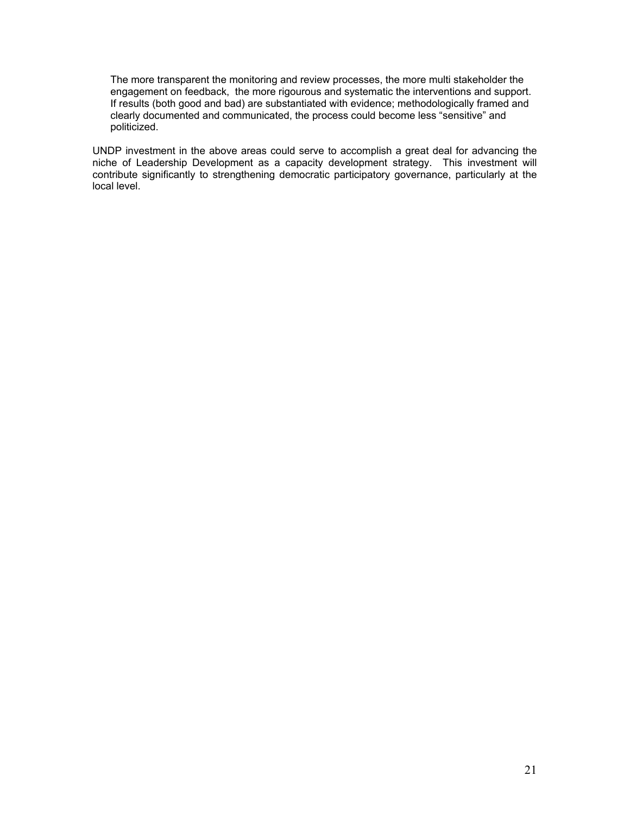The more transparent the monitoring and review processes, the more multi stakeholder the engagement on feedback, the more rigourous and systematic the interventions and support. If results (both good and bad) are substantiated with evidence; methodologically framed and clearly documented and communicated, the process could become less "sensitive" and politicized.

UNDP investment in the above areas could serve to accomplish a great deal for advancing the niche of Leadership Development as a capacity development strategy. This investment will contribute significantly to strengthening democratic participatory governance, particularly at the local level.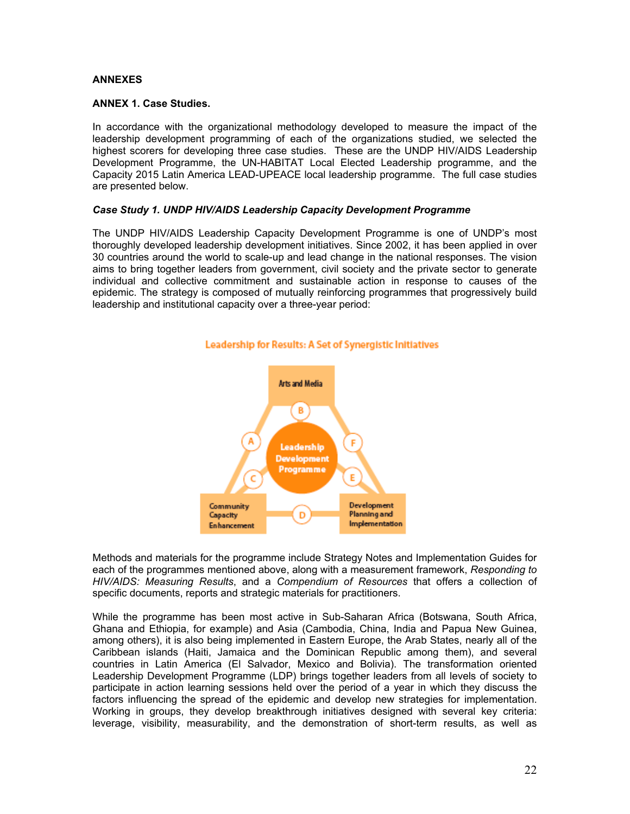#### **ANNEXES**

#### **ANNEX 1. Case Studies.**

In accordance with the organizational methodology developed to measure the impact of the leadership development programming of each of the organizations studied, we selected the highest scorers for developing three case studies. These are the UNDP HIV/AIDS Leadership Development Programme, the UN-HABITAT Local Elected Leadership programme, and the Capacity 2015 Latin America LEAD-UPEACE local leadership programme. The full case studies are presented below.

#### *Case Study 1. UNDP HIV/AIDS Leadership Capacity Development Programme*

The UNDP HIV/AIDS Leadership Capacity Development Programme is one of UNDP's most thoroughly developed leadership development initiatives. Since 2002, it has been applied in over 30 countries around the world to scale-up and lead change in the national responses. The vision aims to bring together leaders from government, civil society and the private sector to generate individual and collective commitment and sustainable action in response to causes of the epidemic. The strategy is composed of mutually reinforcing programmes that progressively build leadership and institutional capacity over a three-year period:





Methods and materials for the programme include Strategy Notes and Implementation Guides for each of the programmes mentioned above, along with a measurement framework, *Responding to HIV/AIDS: Measuring Results*, and a *Compendium of Resources* that offers a collection of specific documents, reports and strategic materials for practitioners.

While the programme has been most active in Sub-Saharan Africa (Botswana, South Africa, Ghana and Ethiopia, for example) and Asia (Cambodia, China, India and Papua New Guinea, among others), it is also being implemented in Eastern Europe, the Arab States, nearly all of the Caribbean islands (Haiti, Jamaica and the Dominican Republic among them), and several countries in Latin America (El Salvador, Mexico and Bolivia). The transformation oriented Leadership Development Programme (LDP) brings together leaders from all levels of society to participate in action learning sessions held over the period of a year in which they discuss the factors influencing the spread of the epidemic and develop new strategies for implementation. Working in groups, they develop breakthrough initiatives designed with several key criteria: leverage, visibility, measurability, and the demonstration of short-term results, as well as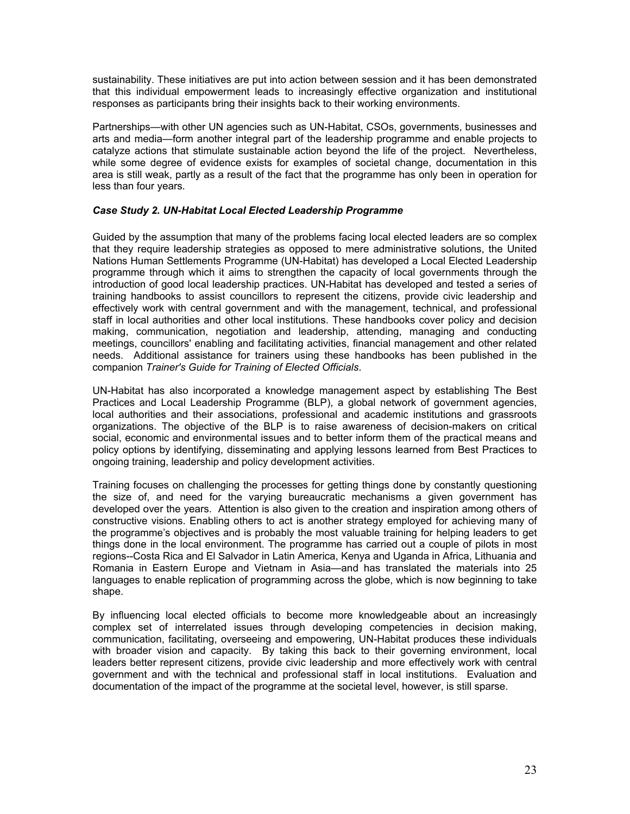sustainability. These initiatives are put into action between session and it has been demonstrated that this individual empowerment leads to increasingly effective organization and institutional responses as participants bring their insights back to their working environments.

Partnerships—with other UN agencies such as UN-Habitat, CSOs, governments, businesses and arts and media—form another integral part of the leadership programme and enable projects to catalyze actions that stimulate sustainable action beyond the life of the project. Nevertheless, while some degree of evidence exists for examples of societal change, documentation in this area is still weak, partly as a result of the fact that the programme has only been in operation for less than four years.

#### *Case Study 2. UN-Habitat Local Elected Leadership Programme*

Guided by the assumption that many of the problems facing local elected leaders are so complex that they require leadership strategies as opposed to mere administrative solutions, the United Nations Human Settlements Programme (UN-Habitat) has developed a Local Elected Leadership programme through which it aims to strengthen the capacity of local governments through the introduction of good local leadership practices. UN-Habitat has developed and tested a series of training handbooks to assist councillors to represent the citizens, provide civic leadership and effectively work with central government and with the management, technical, and professional staff in local authorities and other local institutions. These handbooks cover policy and decision making, communication, negotiation and leadership, attending, managing and conducting meetings, councillors' enabling and facilitating activities, financial management and other related needs. Additional assistance for trainers using these handbooks has been published in the companion *Trainer's Guide for Training of Elected Officials*.

UN-Habitat has also incorporated a knowledge management aspect by establishing The Best Practices and Local Leadership Programme (BLP), a global network of government agencies, local authorities and their associations, professional and academic institutions and grassroots organizations. The objective of the BLP is to raise awareness of decision-makers on critical social, economic and environmental issues and to better inform them of the practical means and policy options by identifying, disseminating and applying lessons learned from Best Practices to ongoing training, leadership and policy development activities.

Training focuses on challenging the processes for getting things done by constantly questioning the size of, and need for the varying bureaucratic mechanisms a given government has developed over the years. Attention is also given to the creation and inspiration among others of constructive visions. Enabling others to act is another strategy employed for achieving many of the programme's objectives and is probably the most valuable training for helping leaders to get things done in the local environment. The programme has carried out a couple of pilots in most regions--Costa Rica and El Salvador in Latin America, Kenya and Uganda in Africa, Lithuania and Romania in Eastern Europe and Vietnam in Asia—and has translated the materials into 25 languages to enable replication of programming across the globe, which is now beginning to take shape.

By influencing local elected officials to become more knowledgeable about an increasingly complex set of interrelated issues through developing competencies in decision making, communication, facilitating, overseeing and empowering, UN-Habitat produces these individuals with broader vision and capacity. By taking this back to their governing environment, local leaders better represent citizens, provide civic leadership and more effectively work with central government and with the technical and professional staff in local institutions. Evaluation and documentation of the impact of the programme at the societal level, however, is still sparse.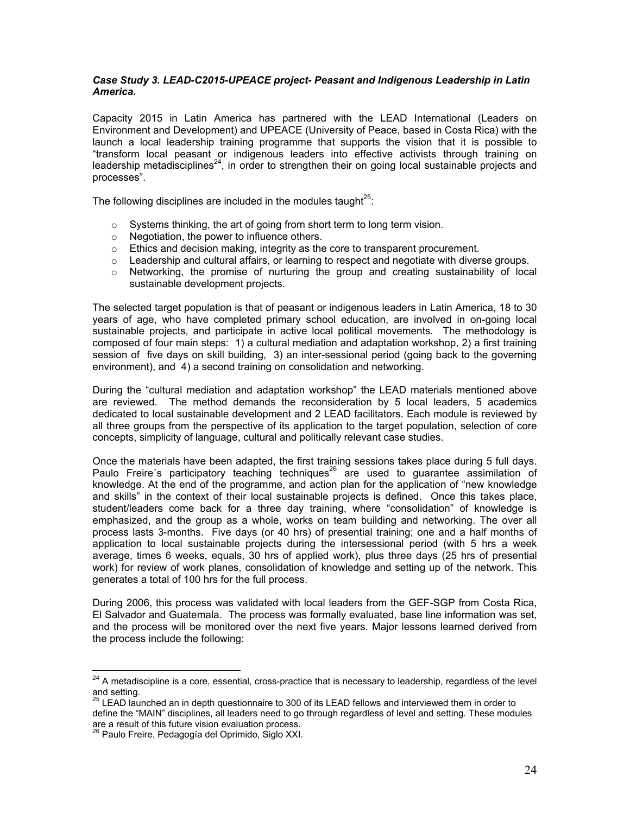#### *Case Study 3. LEAD-C2015-UPEACE project- Peasant and Indigenous Leadership in Latin America.*

Capacity 2015 in Latin America has partnered with the LEAD International (Leaders on Environment and Development) and UPEACE (University of Peace, based in Costa Rica) with the launch a local leadership training programme that supports the vision that it is possible to "transform local peasant or indigenous leaders into effective activists through training on leadership metadisciplines<sup>24</sup>, in order to strengthen their on going local sustainable projects and processes".

The following disciplines are included in the modules taught $25$ :

- $\circ$  Systems thinking, the art of going from short term to long term vision.
- o Negotiation, the power to influence others.
- o Ethics and decision making, integrity as the core to transparent procurement.
- $\circ$  Leadership and cultural affairs, or learning to respect and negotiate with diverse groups.
- $\circ$  Networking, the promise of nurturing the group and creating sustainability of local sustainable development projects.

The selected target population is that of peasant or indigenous leaders in Latin America, 18 to 30 years of age, who have completed primary school education, are involved in on-going local sustainable projects, and participate in active local political movements. The methodology is composed of four main steps: 1) a cultural mediation and adaptation workshop, 2) a first training session of five days on skill building, 3) an inter-sessional period (going back to the governing environment), and 4) a second training on consolidation and networking.

During the "cultural mediation and adaptation workshop" the LEAD materials mentioned above are reviewed. The method demands the reconsideration by 5 local leaders, 5 academics dedicated to local sustainable development and 2 LEAD facilitators. Each module is reviewed by all three groups from the perspective of its application to the target population, selection of core concepts, simplicity of language, cultural and politically relevant case studies.

Once the materials have been adapted, the first training sessions takes place during 5 full days. Paulo Freire's participatory teaching techniques<sup>26</sup> are used to guarantee assimilation of knowledge. At the end of the programme, and action plan for the application of "new knowledge and skills" in the context of their local sustainable projects is defined. Once this takes place, student/leaders come back for a three day training, where "consolidation" of knowledge is emphasized, and the group as a whole, works on team building and networking. The over all process lasts 3-months. Five days (or 40 hrs) of presential training; one and a half months of application to local sustainable projects during the intersessional period (with 5 hrs a week average, times 6 weeks, equals, 30 hrs of applied work), plus three days (25 hrs of presential work) for review of work planes, consolidation of knowledge and setting up of the network. This generates a total of 100 hrs for the full process.

During 2006, this process was validated with local leaders from the GEF-SGP from Costa Rica, El Salvador and Guatemala. The process was formally evaluated, base line information was set, and the process will be monitored over the next five years. Major lessons learned derived from the process include the following:

 $\overline{a}$  $^{24}$  A metadiscipline is a core, essential, cross-practice that is necessary to leadership, regardless of the level and setting.

 $25$  LEAD launched an in depth questionnaire to 300 of its LEAD fellows and interviewed them in order to define the "MAIN" disciplines, all leaders need to go through regardless of level and setting. These modules are a result of this future vision evaluation process.

 $\delta$  Paulo Freire, Pedagogía del Oprimido, Siglo XXI.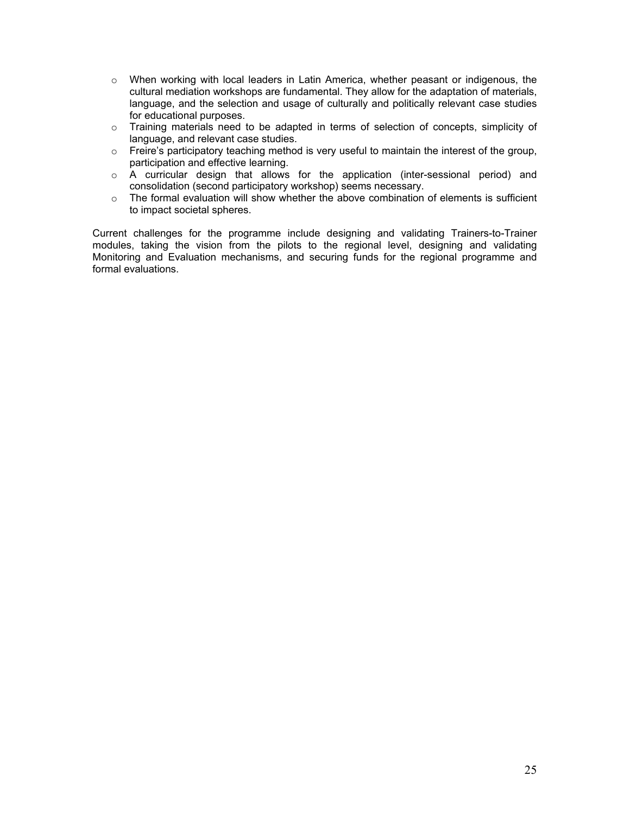- o When working with local leaders in Latin America, whether peasant or indigenous, the cultural mediation workshops are fundamental. They allow for the adaptation of materials, language, and the selection and usage of culturally and politically relevant case studies for educational purposes.
- o Training materials need to be adapted in terms of selection of concepts, simplicity of language, and relevant case studies.
- $\circ$  Freire's participatory teaching method is very useful to maintain the interest of the group, participation and effective learning.
- o A curricular design that allows for the application (inter-sessional period) and consolidation (second participatory workshop) seems necessary.
- $\circ$  The formal evaluation will show whether the above combination of elements is sufficient to impact societal spheres.

Current challenges for the programme include designing and validating Trainers-to-Trainer modules, taking the vision from the pilots to the regional level, designing and validating Monitoring and Evaluation mechanisms, and securing funds for the regional programme and formal evaluations.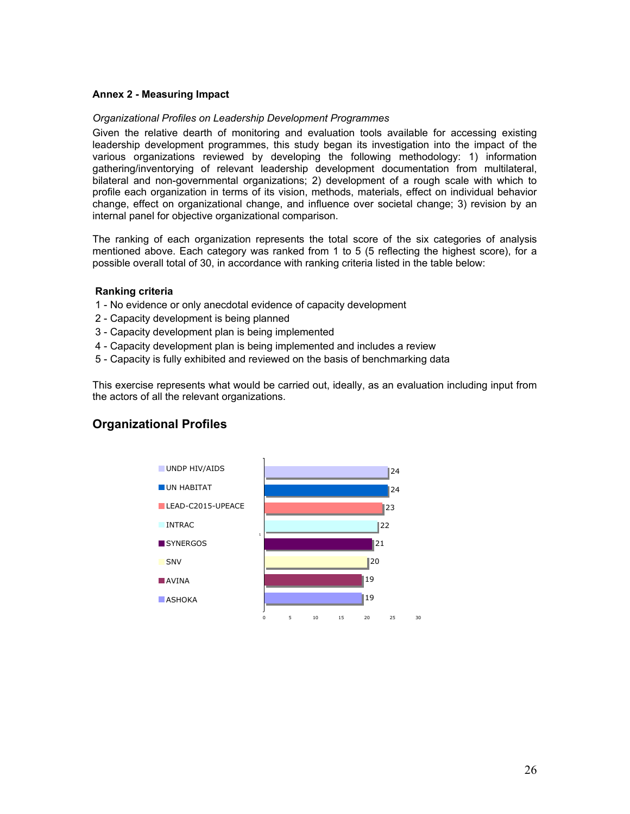#### **Annex 2 - Measuring Impact**

#### *Organizational Profiles on Leadership Development Programmes*

Given the relative dearth of monitoring and evaluation tools available for accessing existing leadership development programmes, this study began its investigation into the impact of the various organizations reviewed by developing the following methodology: 1) information gathering/inventorying of relevant leadership development documentation from multilateral, bilateral and non-governmental organizations; 2) development of a rough scale with which to profile each organization in terms of its vision, methods, materials, effect on individual behavior change, effect on organizational change, and influence over societal change; 3) revision by an internal panel for objective organizational comparison.

The ranking of each organization represents the total score of the six categories of analysis mentioned above. Each category was ranked from 1 to 5 (5 reflecting the highest score), for a possible overall total of 30, in accordance with ranking criteria listed in the table below:

#### **Ranking criteria**

- 1 No evidence or only anecdotal evidence of capacity development
- 2 Capacity development is being planned
- 3 Capacity development plan is being implemented
- 4 Capacity development plan is being implemented and includes a review
- 5 Capacity is fully exhibited and reviewed on the basis of benchmarking data

This exercise represents what would be carried out, ideally, as an evaluation including input from the actors of all the relevant organizations.



# **Organizational Profiles**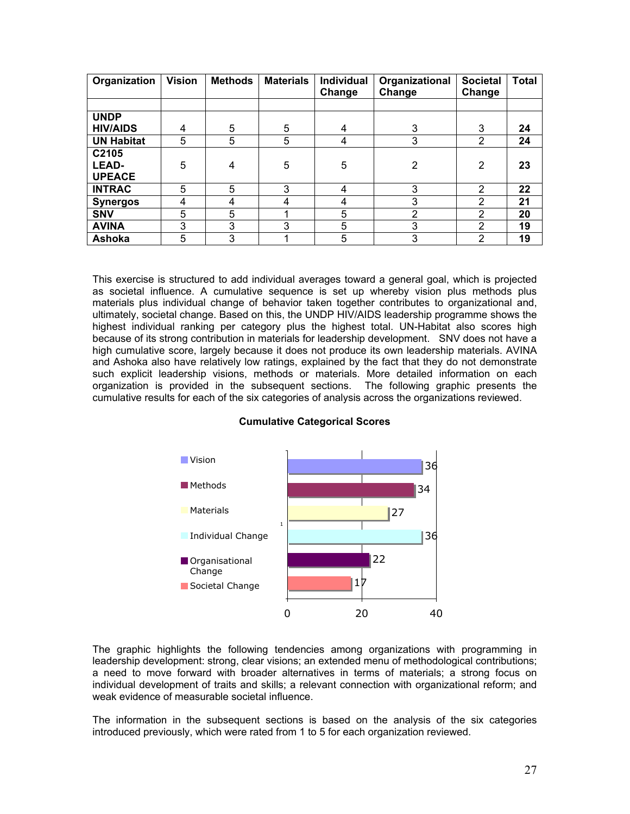| Organization      | <b>Vision</b> | <b>Methods</b> | <b>Materials</b> | <b>Individual</b><br>Change | Organizational<br>Change | <b>Societal</b><br>Change | <b>Total</b> |
|-------------------|---------------|----------------|------------------|-----------------------------|--------------------------|---------------------------|--------------|
|                   |               |                |                  |                             |                          |                           |              |
| <b>UNDP</b>       |               |                |                  |                             |                          |                           |              |
| <b>HIV/AIDS</b>   | 4             | 5              | 5                | 4                           | 3                        | 3                         | 24           |
| <b>UN Habitat</b> | 5             | 5              | 5                | 4                           | 3                        | $\overline{2}$            | 24           |
| C2105             |               |                |                  |                             |                          |                           |              |
| <b>LEAD-</b>      | 5             | 4              | 5                | 5                           | 2                        | 2                         | 23           |
| <b>UPEACE</b>     |               |                |                  |                             |                          |                           |              |
| <b>INTRAC</b>     | 5             | 5              | 3                | 4                           | 3                        | 2                         | 22           |
| <b>Synergos</b>   | 4             | 4              | 4                | 4                           | 3                        | 2                         | 21           |
| <b>SNV</b>        | 5             | 5              |                  | 5                           | $\overline{2}$           | 2                         | 20           |
| <b>AVINA</b>      | 3             | 3              | 3                | 5                           | 3                        | $\overline{2}$            | 19           |
| Ashoka            | 5             | 3              |                  | 5                           | 3                        | $\overline{2}$            | 19           |

This exercise is structured to add individual averages toward a general goal, which is projected as societal influence. A cumulative sequence is set up whereby vision plus methods plus materials plus individual change of behavior taken together contributes to organizational and, ultimately, societal change. Based on this, the UNDP HIV/AIDS leadership programme shows the highest individual ranking per category plus the highest total. UN-Habitat also scores high because of its strong contribution in materials for leadership development. SNV does not have a high cumulative score, largely because it does not produce its own leadership materials. AVINA and Ashoka also have relatively low ratings, explained by the fact that they do not demonstrate such explicit leadership visions, methods or materials. More detailed information on each organization is provided in the subsequent sections. The following graphic presents the cumulative results for each of the six categories of analysis across the organizations reviewed.

### **Cumulative Categorical Scores**



The graphic highlights the following tendencies among organizations with programming in leadership development: strong, clear visions; an extended menu of methodological contributions; a need to move forward with broader alternatives in terms of materials; a strong focus on individual development of traits and skills; a relevant connection with organizational reform; and weak evidence of measurable societal influence.

The information in the subsequent sections is based on the analysis of the six categories introduced previously, which were rated from 1 to 5 for each organization reviewed.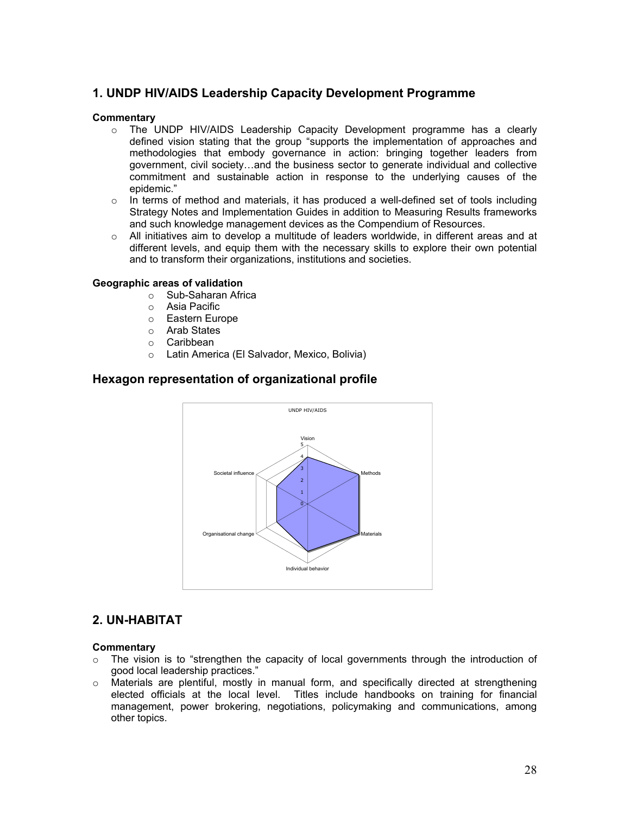# **1. UNDP HIV/AIDS Leadership Capacity Development Programme**

#### **Commentary**

- o The UNDP HIV/AIDS Leadership Capacity Development programme has a clearly defined vision stating that the group "supports the implementation of approaches and methodologies that embody governance in action: bringing together leaders from government, civil society…and the business sector to generate individual and collective commitment and sustainable action in response to the underlying causes of the epidemic."
- $\circ$  In terms of method and materials, it has produced a well-defined set of tools including Strategy Notes and Implementation Guides in addition to Measuring Results frameworks and such knowledge management devices as the Compendium of Resources.
- $\circ$  All initiatives aim to develop a multitude of leaders worldwide, in different areas and at different levels, and equip them with the necessary skills to explore their own potential and to transform their organizations, institutions and societies.

#### **Geographic areas of validation**

- o Sub-Saharan Africa
- o Asia Pacific
- o Eastern Europe
- o Arab States
- o Caribbean
- o Latin America (El Salvador, Mexico, Bolivia)

## **Hexagon representation of organizational profile**



### **2. UN-HABITAT**

#### **Commentary**

- $\circ$  The vision is to "strengthen the capacity of local governments through the introduction of good local leadership practices."
- $\circ$  Materials are plentiful, mostly in manual form, and specifically directed at strengthening elected officials at the local level. Titles include handbooks on training for financial management, power brokering, negotiations, policymaking and communications, among other topics.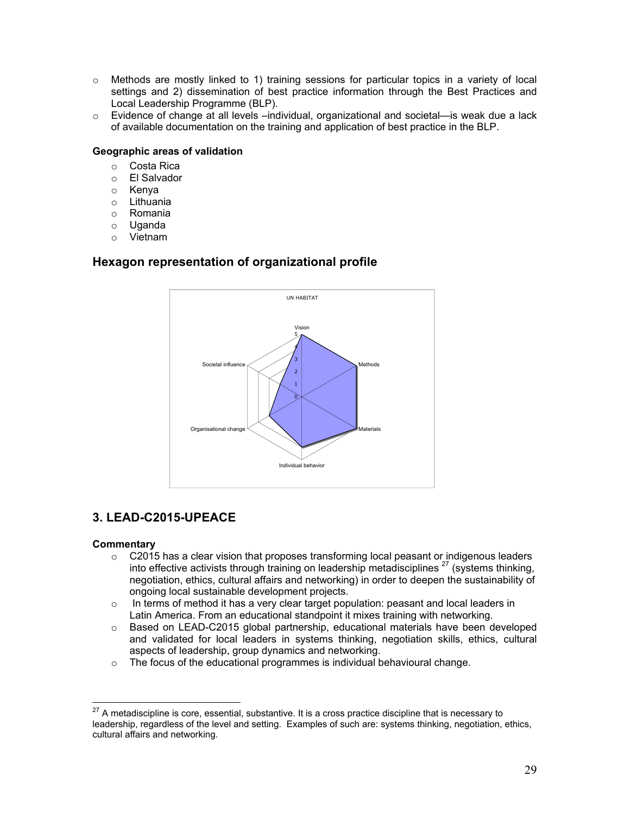- $\circ$  Methods are mostly linked to 1) training sessions for particular topics in a variety of local settings and 2) dissemination of best practice information through the Best Practices and Local Leadership Programme (BLP).
- o Evidence of change at all levels –individual, organizational and societal—is weak due a lack of available documentation on the training and application of best practice in the BLP.

#### **Geographic areas of validation**

- o Costa Rica
- o El Salvador
- o Kenya
- o Lithuania
- o Romania
- o Uganda
- o Vietnam

# **Hexagon representation of organizational profile**



# **3. LEAD-C2015-UPEACE**

#### **Commentary**

- $\circ$  C2015 has a clear vision that proposes transforming local peasant or indigenous leaders into effective activists through training on leadership metadisciplines  $27$  (systems thinking, negotiation, ethics, cultural affairs and networking) in order to deepen the sustainability of ongoing local sustainable development projects.
- $\circ$  In terms of method it has a very clear target population: peasant and local leaders in Latin America. From an educational standpoint it mixes training with networking.
- o Based on LEAD-C2015 global partnership, educational materials have been developed and validated for local leaders in systems thinking, negotiation skills, ethics, cultural aspects of leadership, group dynamics and networking.
- $\circ$  The focus of the educational programmes is individual behavioural change.

 $\overline{a}$  $^{27}$  A metadiscipline is core, essential, substantive. It is a cross practice discipline that is necessary to leadership, regardless of the level and setting. Examples of such are: systems thinking, negotiation, ethics, cultural affairs and networking.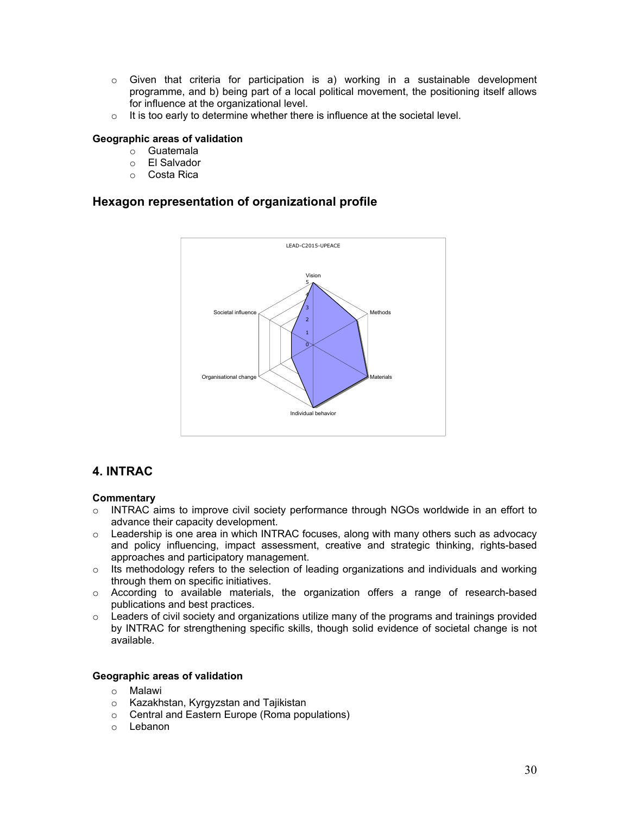- $\circ$  Given that criteria for participation is a) working in a sustainable development programme, and b) being part of a local political movement, the positioning itself allows for influence at the organizational level.
- $\circ$  It is too early to determine whether there is influence at the societal level.

### **Geographic areas of validation**

- o Guatemala
- o El Salvador
- o Costa Rica

# **Hexagon representation of organizational profile**



# **4. INTRAC**

### **Commentary**

- $\circ$  INTRAC aims to improve civil society performance through NGOs worldwide in an effort to advance their capacity development.
- $\circ$  Leadership is one area in which INTRAC focuses, along with many others such as advocacy and policy influencing, impact assessment, creative and strategic thinking, rights-based approaches and participatory management.
- $\circ$  Its methodology refers to the selection of leading organizations and individuals and working through them on specific initiatives.
- o According to available materials, the organization offers a range of research-based publications and best practices.
- o Leaders of civil society and organizations utilize many of the programs and trainings provided by INTRAC for strengthening specific skills, though solid evidence of societal change is not available.

### **Geographic areas of validation**

- o Malawi
- o Kazakhstan, Kyrgyzstan and Tajikistan
- o Central and Eastern Europe (Roma populations)
- o Lebanon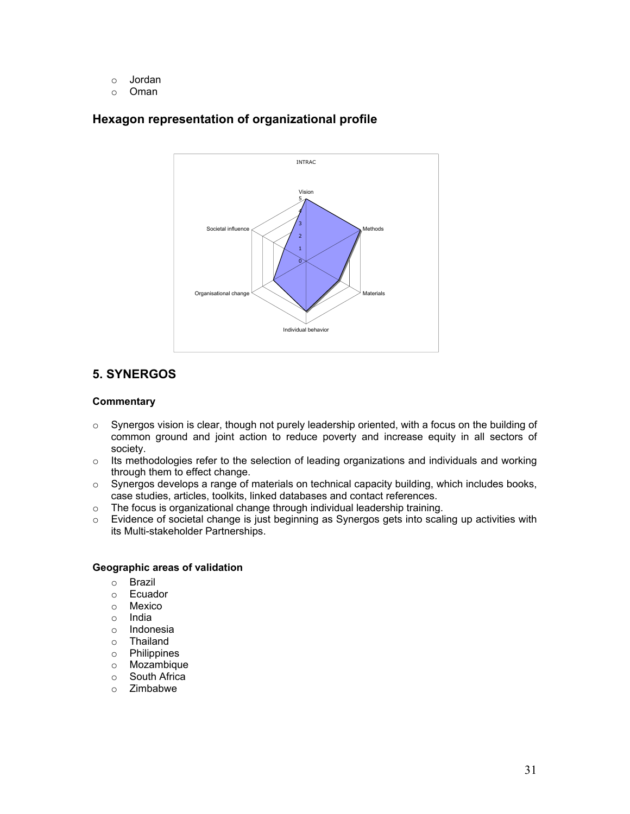- o Jordan
- o Oman

# **Hexagon representation of organizational profile**



# **5. SYNERGOS**

### **Commentary**

- $\circ$  Synergos vision is clear, though not purely leadership oriented, with a focus on the building of common ground and joint action to reduce poverty and increase equity in all sectors of society.
- $\circ$  Its methodologies refer to the selection of leading organizations and individuals and working through them to effect change.
- o Synergos develops a range of materials on technical capacity building, which includes books, case studies, articles, toolkits, linked databases and contact references.
- o The focus is organizational change through individual leadership training.
- o Evidence of societal change is just beginning as Synergos gets into scaling up activities with its Multi-stakeholder Partnerships.

### **Geographic areas of validation**

- o Brazil
- o Ecuador
- o Mexico
- o India
- o Indonesia
- o Thailand
- o Philippines
- o Mozambique
- o South Africa
- o Zimbabwe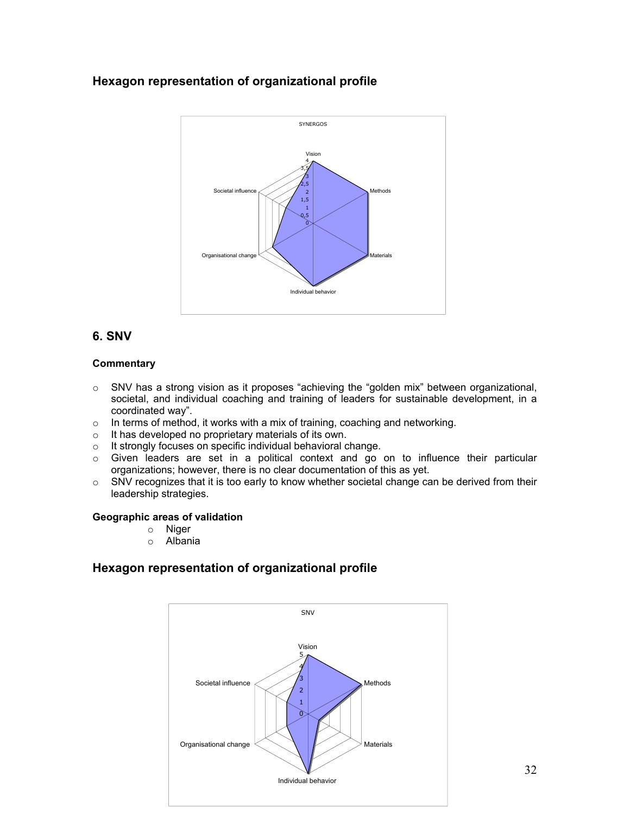# **Hexagon representation of organizational profile**



# **6. SNV**

### **Commentary**

- $\circ$  SNV has a strong vision as it proposes "achieving the "golden mix" between organizational, societal, and individual coaching and training of leaders for sustainable development, in a coordinated way".
- o In terms of method, it works with a mix of training, coaching and networking.
- o It has developed no proprietary materials of its own.
- o It strongly focuses on specific individual behavioral change.
- o Given leaders are set in a political context and go on to influence their particular organizations; however, there is no clear documentation of this as yet.
- $\circ$  SNV recognizes that it is too early to know whether societal change can be derived from their leadership strategies.

### **Geographic areas of validation**

- o Niger
- o Albania

## **Hexagon representation of organizational profile**

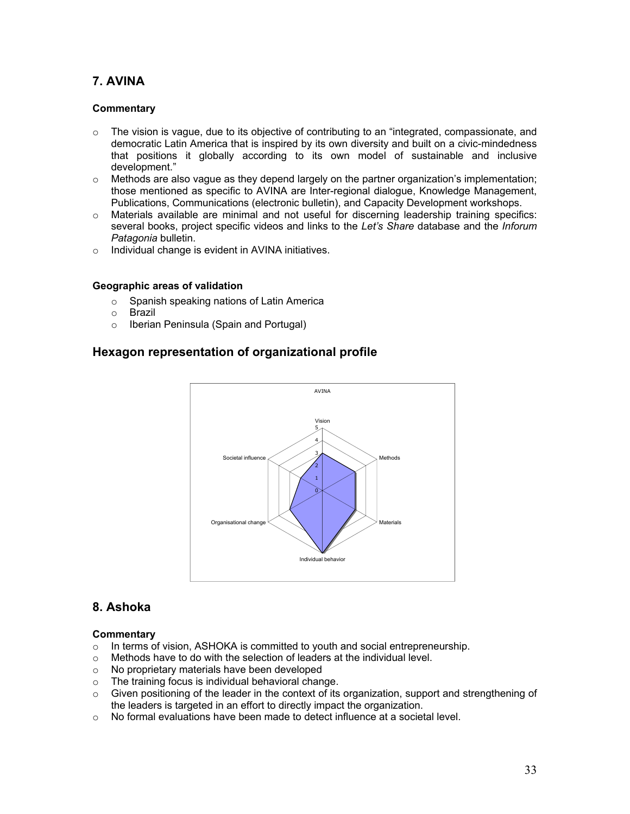# **7. AVINA**

### **Commentary**

- $\circ$  The vision is vague, due to its objective of contributing to an "integrated, compassionate, and democratic Latin America that is inspired by its own diversity and built on a civic-mindedness that positions it globally according to its own model of sustainable and inclusive development."
- $\circ$  Methods are also vague as they depend largely on the partner organization's implementation; those mentioned as specific to AVINA are Inter-regional dialogue, Knowledge Management, Publications, Communications (electronic bulletin), and Capacity Development workshops.
- $\circ$  Materials available are minimal and not useful for discerning leadership training specifics: several books, project specific videos and links to the *Let's Share* database and the *Inforum Patagonia* bulletin.
- o Individual change is evident in AVINA initiatives.

#### **Geographic areas of validation**

- o Spanish speaking nations of Latin America
- o Brazil
- o Iberian Peninsula (Spain and Portugal)

# **Hexagon representation of organizational profile**



# **8. Ashoka**

#### **Commentary**

- $\circ$  In terms of vision, ASHOKA is committed to youth and social entrepreneurship.
- o Methods have to do with the selection of leaders at the individual level.
- o No proprietary materials have been developed
- $\circ$  The training focus is individual behavioral change.
- $\circ$  Given positioning of the leader in the context of its organization, support and strengthening of the leaders is targeted in an effort to directly impact the organization.
- $\circ$  No formal evaluations have been made to detect influence at a societal level.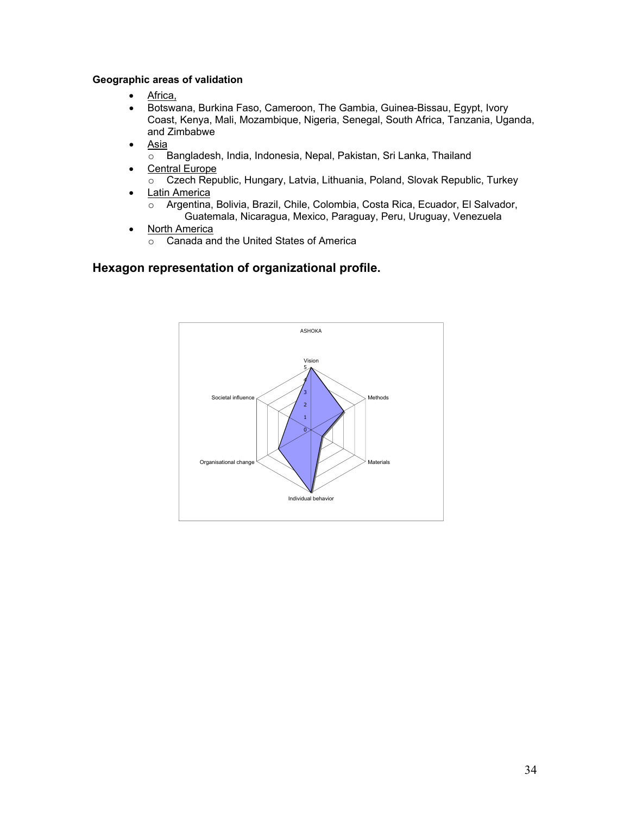### **Geographic areas of validation**

- Africa,
- Botswana, Burkina Faso, Cameroon, The Gambia, Guinea-Bissau, Egypt, Ivory Coast, Kenya, Mali, Mozambique, Nigeria, Senegal, South Africa, Tanzania, Uganda, and Zimbabwe
- Asia
	- o Bangladesh, India, Indonesia, Nepal, Pakistan, Sri Lanka, Thailand
- **Central Europe** o Czech Republic, Hungary, Latvia, Lithuania, Poland, Slovak Republic, Turkey
- Latin America
	- o Argentina, Bolivia, Brazil, Chile, Colombia, Costa Rica, Ecuador, El Salvador, Guatemala, Nicaragua, Mexico, Paraguay, Peru, Uruguay, Venezuela
- North America
	- o Canada and the United States of America

# **Hexagon representation of organizational profile.**

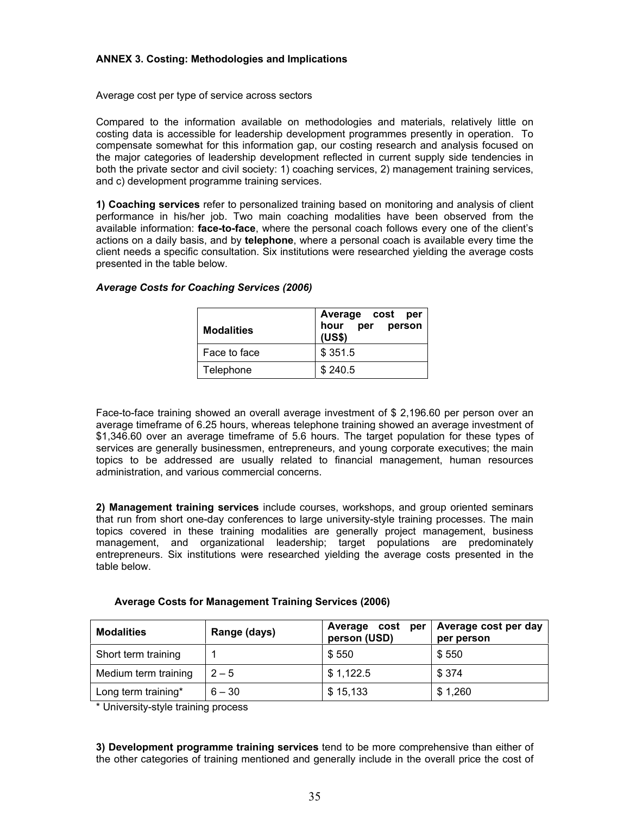#### **ANNEX 3. Costing: Methodologies and Implications**

Average cost per type of service across sectors

Compared to the information available on methodologies and materials, relatively little on costing data is accessible for leadership development programmes presently in operation. To compensate somewhat for this information gap, our costing research and analysis focused on the major categories of leadership development reflected in current supply side tendencies in both the private sector and civil society: 1) coaching services, 2) management training services, and c) development programme training services.

**1) Coaching services** refer to personalized training based on monitoring and analysis of client performance in his/her job. Two main coaching modalities have been observed from the available information: **face-to-face**, where the personal coach follows every one of the client's actions on a daily basis, and by **telephone**, where a personal coach is available every time the client needs a specific consultation. Six institutions were researched yielding the average costs presented in the table below.

| <b>Modalities</b> | Average cost per<br>hour per person<br>(US\$) |
|-------------------|-----------------------------------------------|
| Face to face      | \$351.5                                       |
| Telephone         | \$240.5                                       |

### *Average Costs for Coaching Services (2006)*

Face-to-face training showed an overall average investment of \$ 2,196.60 per person over an average timeframe of 6.25 hours, whereas telephone training showed an average investment of \$1,346.60 over an average timeframe of 5.6 hours. The target population for these types of services are generally businessmen, entrepreneurs, and young corporate executives; the main topics to be addressed are usually related to financial management, human resources administration, and various commercial concerns.

**2) Management training services** include courses, workshops, and group oriented seminars that run from short one-day conferences to large university-style training processes. The main topics covered in these training modalities are generally project management, business management, and organizational leadership; target populations are predominately entrepreneurs. Six institutions were researched yielding the average costs presented in the table below.

| Average Costs for Management Training Services (2006) |  |
|-------------------------------------------------------|--|
|-------------------------------------------------------|--|

| <b>Modalities</b>    | Range (days) | Average cost per<br>person (USD) | Average cost per day<br>per person |
|----------------------|--------------|----------------------------------|------------------------------------|
| Short term training  |              | \$550                            | \$550                              |
| Medium term training | $2 - 5$      | \$1,122.5                        | \$374                              |
| Long term training*  | $6 - 30$     | \$15,133                         | \$1,260                            |

\* University-style training process

**3) Development programme training services** tend to be more comprehensive than either of the other categories of training mentioned and generally include in the overall price the cost of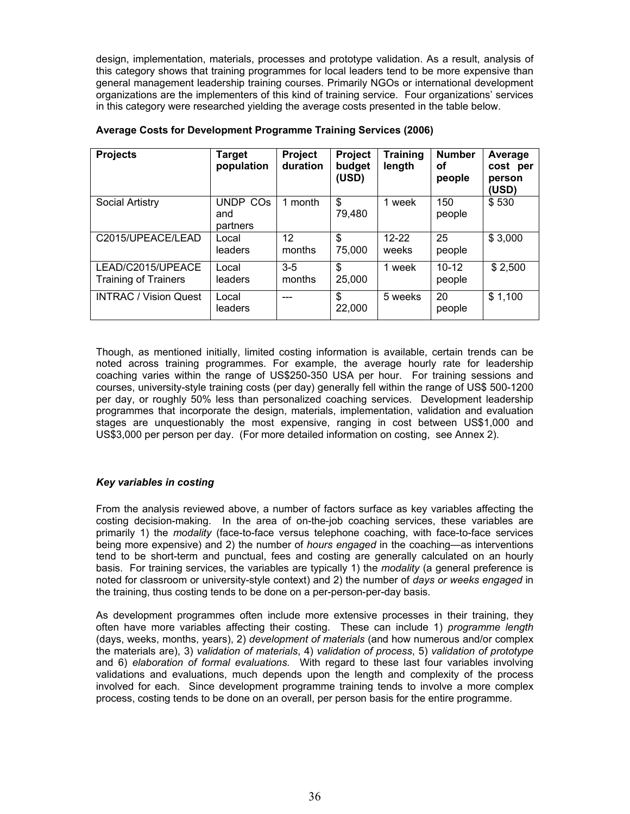design, implementation, materials, processes and prototype validation. As a result, analysis of this category shows that training programmes for local leaders tend to be more expensive than general management leadership training courses. Primarily NGOs or international development organizations are the implementers of this kind of training service. Four organizations' services in this category were researched yielding the average costs presented in the table below.

| <b>Projects</b>                                  | <b>Target</b><br>population | <b>Project</b><br>duration | <b>Project</b><br>budget<br>(USD) | <b>Training</b><br>length | <b>Number</b><br>οf<br>people | Average<br>cost per<br>person<br>(USD) |
|--------------------------------------------------|-----------------------------|----------------------------|-----------------------------------|---------------------------|-------------------------------|----------------------------------------|
| Social Artistry                                  | UNDP COs<br>and<br>partners | 1 month                    | \$<br>79,480                      | 1 week                    | 150<br>people                 | \$530                                  |
| C2015/UPEACE/LEAD                                | Local<br>leaders            | 12<br>months               | \$<br>75,000                      | $12 - 22$<br>weeks        | 25<br>people                  | \$3,000                                |
| LEAD/C2015/UPEACE<br><b>Training of Trainers</b> | Local<br>leaders            | $3 - 5$<br>months          | \$<br>25,000                      | week                      | $10 - 12$<br>people           | \$2,500                                |
| <b>INTRAC / Vision Quest</b>                     | Local<br>leaders            |                            | \$<br>22,000                      | 5 weeks                   | 20<br>people                  | \$1,100                                |

#### **Average Costs for Development Programme Training Services (2006)**

Though, as mentioned initially, limited costing information is available, certain trends can be noted across training programmes. For example, the average hourly rate for leadership coaching varies within the range of US\$250-350 USA per hour. For training sessions and courses, university-style training costs (per day) generally fell within the range of US\$ 500-1200 per day, or roughly 50% less than personalized coaching services. Development leadership programmes that incorporate the design, materials, implementation, validation and evaluation stages are unquestionably the most expensive, ranging in cost between US\$1,000 and US\$3,000 per person per day. (For more detailed information on costing, see Annex 2).

### *Key variables in costing*

From the analysis reviewed above, a number of factors surface as key variables affecting the costing decision-making. In the area of on-the-job coaching services, these variables are primarily 1) the *modality* (face-to-face versus telephone coaching, with face-to-face services being more expensive) and 2) the number of *hours engaged* in the coaching—as interventions tend to be short-term and punctual, fees and costing are generally calculated on an hourly basis. For training services, the variables are typically 1) the *modality* (a general preference is noted for classroom or university-style context) and 2) the number of *days or weeks engaged* in the training, thus costing tends to be done on a per-person-per-day basis.

As development programmes often include more extensive processes in their training, they often have more variables affecting their costing. These can include 1) *programme length* (days, weeks, months, years), 2) *development of materials* (and how numerous and/or complex the materials are), 3) *validation of materials*, 4) *validation of process*, 5) *validation of prototype* and 6) *elaboration of formal evaluations.* With regard to these last four variables involving validations and evaluations, much depends upon the length and complexity of the process involved for each. Since development programme training tends to involve a more complex process, costing tends to be done on an overall, per person basis for the entire programme.